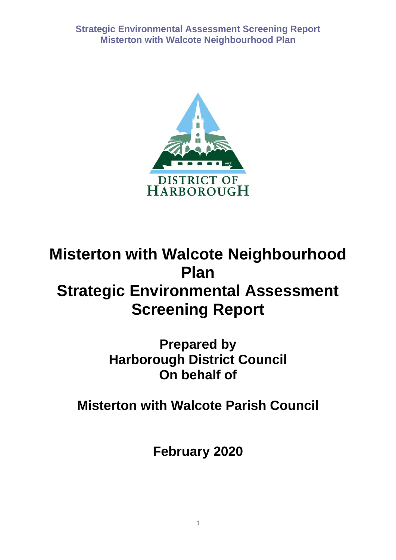

# **Misterton with Walcote Neighbourhood Plan Strategic Environmental Assessment Screening Report**

**Prepared by Harborough District Council On behalf of** 

**Misterton with Walcote Parish Council**

**February 2020**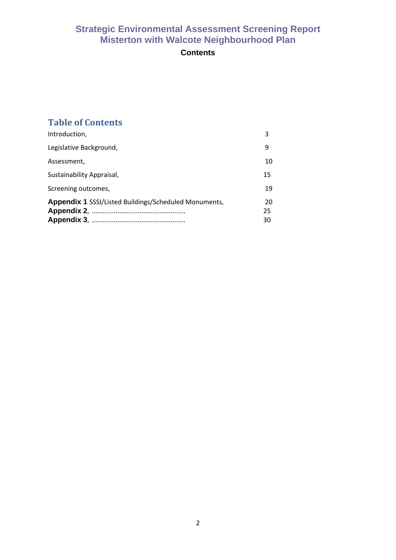# **Contents**

# **Table of Contents**

| Introduction,                                                | 3              |
|--------------------------------------------------------------|----------------|
| Legislative Background,                                      | 9              |
| Assessment,                                                  | 10             |
| Sustainability Appraisal,                                    | 15             |
| Screening outcomes,                                          | 19             |
| <b>Appendix 1 SSSI/Listed Buildings/Scheduled Monuments,</b> | 20<br>25<br>30 |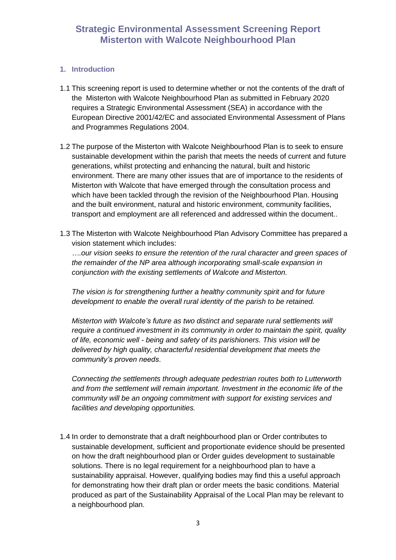#### **1. Introduction**

- 1.1 This screening report is used to determine whether or not the contents of the draft of the Misterton with Walcote Neighbourhood Plan as submitted in February 2020 requires a Strategic Environmental Assessment (SEA) in accordance with the European Directive 2001/42/EC and associated Environmental Assessment of Plans and Programmes Regulations 2004.
- 1.2 The purpose of the Misterton with Walcote Neighbourhood Plan is to seek to ensure sustainable development within the parish that meets the needs of current and future generations, whilst protecting and enhancing the natural, built and historic environment. There are many other issues that are of importance to the residents of Misterton with Walcote that have emerged through the consultation process and which have been tackled through the revision of the Neighbourhood Plan. Housing and the built environment, natural and historic environment, community facilities, transport and employment are all referenced and addressed within the document..
- 1.3 The Misterton with Walcote Neighbourhood Plan Advisory Committee has prepared a vision statement which includes:

*….our vision seeks to ensure the retention of the rural character and green spaces of the remainder of the NP area although incorporating small-scale expansion in conjunction with the existing settlements of Walcote and Misterton.*

*The vision is for strengthening further a healthy community spirit and for future development to enable the overall rural identity of the parish to be retained.*

*Misterton with Walcote's future as two distinct and separate rural settlements will require a continued investment in its community in order to maintain the spirit, quality of life, economic well - being and safety of its parishioners. This vision will be delivered by high quality, characterful residential development that meets the community's proven needs*.

*Connecting the settlements through adequate pedestrian routes both to Lutterworth and from the settlement will remain important. Investment in the economic life of the community will be an ongoing commitment with support for existing services and facilities and developing opportunities.*

1.4 In order to demonstrate that a draft neighbourhood plan or Order contributes to sustainable development, sufficient and proportionate evidence should be presented on how the draft neighbourhood plan or Order guides development to sustainable solutions. There is no legal requirement for a neighbourhood plan to have a sustainability appraisal. However, qualifying bodies may find this a useful approach for demonstrating how their draft plan or order meets the basic conditions. Material produced as part of the Sustainability Appraisal of the Local Plan may be relevant to a neighbourhood plan.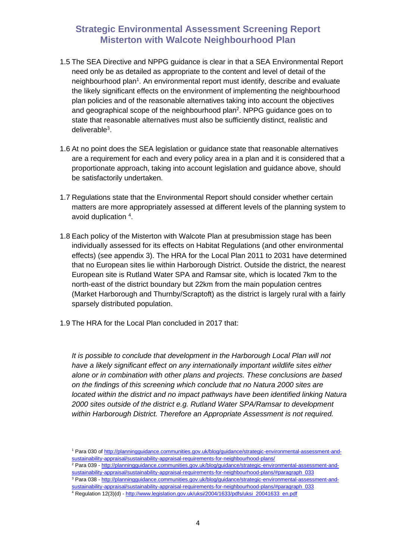- 1.5 The SEA Directive and NPPG guidance is clear in that a SEA Environmental Report need only be as detailed as appropriate to the content and level of detail of the neighbourhood plan<sup>1</sup>. An environmental report must identify, describe and evaluate the likely significant effects on the environment of implementing the neighbourhood plan policies and of the reasonable alternatives taking into account the objectives and geographical scope of the neighbourhood plan<sup>2</sup>. NPPG guidance goes on to state that reasonable alternatives must also be sufficiently distinct, realistic and deliverable<sup>3</sup>.
- 1.6 At no point does the SEA legislation or guidance state that reasonable alternatives are a requirement for each and every policy area in a plan and it is considered that a proportionate approach, taking into account legislation and guidance above, should be satisfactorily undertaken.
- 1.7 Regulations state that the Environmental Report should consider whether certain matters are more appropriately assessed at different levels of the planning system to avoid duplication 4.
- 1.8 Each policy of the Misterton with Walcote Plan at presubmission stage has been individually assessed for its effects on Habitat Regulations (and other environmental effects) (see appendix 3). The HRA for the Local Plan 2011 to 2031 have determined that no European sites lie within Harborough District. Outside the district, the nearest European site is Rutland Water SPA and Ramsar site, which is located 7km to the north-east of the district boundary but 22km from the main population centres (Market Harborough and Thurnby/Scraptoft) as the district is largely rural with a fairly sparsely distributed population.
- 1.9 The HRA for the Local Plan concluded in 2017 that:

*It is possible to conclude that development in the Harborough Local Plan will not have a likely significant effect on any internationally important wildlife sites either alone or in combination with other plans and projects. These conclusions are based on the findings of this screening which conclude that no Natura 2000 sites are located within the district and no impact pathways have been identified linking Natura 2000 sites outside of the district e.g. Rutland Water SPA/Ramsar to development within Harborough District. Therefore an Appropriate Assessment is not required.*

<sup>1</sup> Para 030 o[f http://planningguidance.communities.gov.uk/blog/guidance/strategic-environmental-assessment-and](http://planningguidance.communities.gov.uk/blog/guidance/strategic-environmental-assessment-and-sustainability-appraisal/sustainability-appraisal-requirements-for-neighbourhood-plans/)[sustainability-appraisal/sustainability-appraisal-requirements-for-neighbourhood-plans/](http://planningguidance.communities.gov.uk/blog/guidance/strategic-environmental-assessment-and-sustainability-appraisal/sustainability-appraisal-requirements-for-neighbourhood-plans/) 

<sup>&</sup>lt;sup>2</sup> Para 039 - [http://planningguidance.communities.gov.uk/blog/guidance/strategic-environmental-assessment-and](http://planningguidance.communities.gov.uk/blog/guidance/strategic-environmental-assessment-and-sustainability-appraisal/sustainability-appraisal-requirements-for-neighbourhood-plans/#paragraph_033)[sustainability-appraisal/sustainability-appraisal-requirements-for-neighbourhood-plans/#paragraph\\_033](http://planningguidance.communities.gov.uk/blog/guidance/strategic-environmental-assessment-and-sustainability-appraisal/sustainability-appraisal-requirements-for-neighbourhood-plans/#paragraph_033) 

<sup>3</sup> Para 038 - [http://planningguidance.communities.gov.uk/blog/guidance/strategic-environmental-assessment-and](http://planningguidance.communities.gov.uk/blog/guidance/strategic-environmental-assessment-and-sustainability-appraisal/sustainability-appraisal-requirements-for-neighbourhood-plans/#paragraph_033)[sustainability-appraisal/sustainability-appraisal-requirements-for-neighbourhood-plans/#paragraph\\_033](http://planningguidance.communities.gov.uk/blog/guidance/strategic-environmental-assessment-and-sustainability-appraisal/sustainability-appraisal-requirements-for-neighbourhood-plans/#paragraph_033) 

<sup>4</sup> Regulation 12(3)(d) - [http://www.legislation.gov.uk/uksi/2004/1633/pdfs/uksi\\_20041633\\_en.pdf](http://www.legislation.gov.uk/uksi/2004/1633/pdfs/uksi_20041633_en.pdf)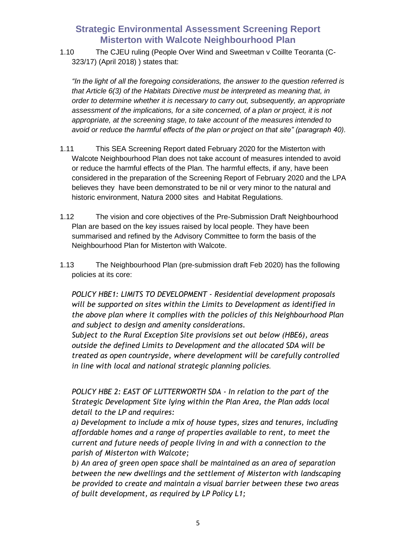1.10 The CJEU ruling (People Over Wind and Sweetman v Coillte Teoranta (C-323/17) (April 2018) ) states that:

*"In the light of all the foregoing considerations, the answer to the question referred is that Article 6(3) of the Habitats Directive must be interpreted as meaning that, in order to determine whether it is necessary to carry out, subsequently, an appropriate assessment of the implications, for a site concerned, of a plan or project, it is not appropriate, at the screening stage, to take account of the measures intended to avoid or reduce the harmful effects of the plan or project on that site" (paragraph 40).*

- 1.11 This SEA Screening Report dated February 2020 for the Misterton with Walcote Neighbourhood Plan does not take account of measures intended to avoid or reduce the harmful effects of the Plan. The harmful effects, if any, have been considered in the preparation of the Screening Report of February 2020 and the LPA believes they have been demonstrated to be nil or very minor to the natural and historic environment, Natura 2000 sites and Habitat Regulations.
- 1.12 The vision and core objectives of the Pre-Submission Draft Neighbourhood Plan are based on the key issues raised by local people. They have been summarised and refined by the Advisory Committee to form the basis of the Neighbourhood Plan for Misterton with Walcote.
- 1.13 The Neighbourhood Plan (pre-submission draft Feb 2020) has the following policies at its core:

*POLICY HBE1: LIMITS TO DEVELOPMENT - Residential development proposals will be supported on sites within the Limits to Development as identified in the above plan where it complies with the policies of this Neighbourhood Plan and subject to design and amenity considerations.*

*Subject to the Rural Exception Site provisions set out below (HBE6), areas outside the defined Limits to Development and the allocated SDA will be treated as open countryside, where development will be carefully controlled in line with local and national strategic planning policies.*

*POLICY HBE 2: EAST OF LUTTERWORTH SDA - In relation to the part of the Strategic Development Site lying within the Plan Area, the Plan adds local detail to the LP and requires:* 

*a) Development to include a mix of house types, sizes and tenures, including affordable homes and a range of properties available to rent, to meet the current and future needs of people living in and with a connection to the parish of Misterton with Walcote;* 

*b) An area of green open space shall be maintained as an area of separation between the new dwellings and the settlement of Misterton with landscaping be provided to create and maintain a visual barrier between these two areas of built development, as required by LP Policy L1;*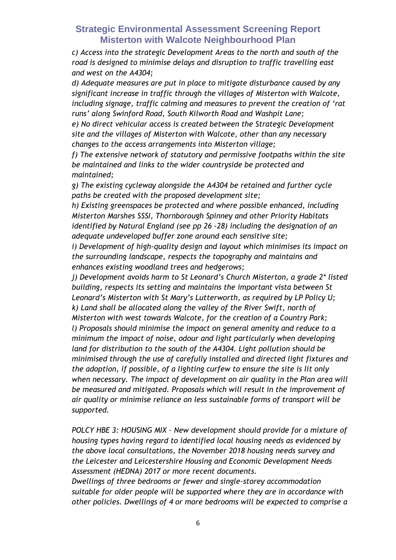*c) Access into the strategic Development Areas to the north and south of the road is designed to minimise delays and disruption to traffic travelling east and west on the A4304;* 

*d) Adequate measures are put in place to mitigate disturbance caused by any significant increase in traffic through the villages of Misterton with Walcote, including signage, traffic calming and measures to prevent the creation of 'rat runs' along Swinford Road, South Kilworth Road and Washpit Lane;* 

*e) No direct vehicular access is created between the Strategic Development site and the villages of Misterton with Walcote, other than any necessary changes to the access arrangements into Misterton village;* 

*f) The extensive network of statutory and permissive footpaths within the site be maintained and links to the wider countryside be protected and maintained;* 

*g) The existing cycleway alongside the A4304 be retained and further cycle paths be created with the proposed development site;*

*h) Existing greenspaces be protected and where possible enhanced, including Misterton Marshes SSSI, Thornborough Spinney and other Priority Habitats identified by Natural England (see pp 26 -28) including the designation of an adequate undeveloped buffer zone around each sensitive site;*

*i) Development of high-quality design and layout which minimises its impact on the surrounding landscape, respects the topography and maintains and enhances existing woodland trees and hedgerows;*

*j) Development avoids harm to St Leonard's Church Misterton, a grade 2\* listed building, respects its setting and maintains the important vista between St Leonard's Misterton with St Mary's Lutterworth, as required by LP Policy U; k) Land shall be allocated along the valley of the River Swift, north of Misterton with west towards Walcote, for the creation of a Country Park; l) Proposals should minimise the impact on general amenity and reduce to a minimum the impact of noise, odour and light particularly when developing land for distribution to the south of the A4304. Light pollution should be minimised through the use of carefully installed and directed light fixtures and the adoption, if possible, of a lighting curfew to ensure the site is lit only when necessary. The impact of development on air quality in the Plan area will be measured and mitigated. Proposals which will result in the improvement of air quality or minimise reliance on less sustainable forms of transport will be supported.*

*POLCY HBE 3: HOUSING MIX – New development should provide for a mixture of housing types having regard to identified local housing needs as evidenced by the above local consultations, the November 2018 housing needs survey and the Leicester and Leicestershire Housing and Economic Development Needs Assessment (HEDNA) 2017 or more recent documents.*

*Dwellings of three bedrooms or fewer and single-storey accommodation suitable for older people will be supported where they are in accordance with other policies. Dwellings of 4 or more bedrooms will be expected to comprise a*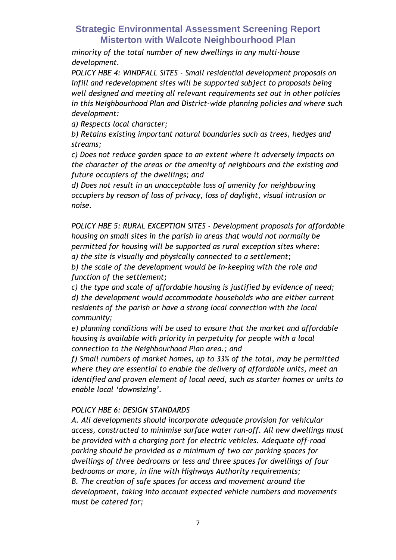*minority of the total number of new dwellings in any multi-house development.*

*POLICY HBE 4: WINDFALL SITES - Small residential development proposals on infill and redevelopment sites will be supported subject to proposals being well designed and meeting all relevant requirements set out in other policies in this Neighbourhood Plan and District-wide planning policies and where such development:*

*a) Respects local character;*

*b) Retains existing important natural boundaries such as trees, hedges and streams;*

*c) Does not reduce garden space to an extent where it adversely impacts on the character of the areas or the amenity of neighbours and the existing and future occupiers of the dwellings; and*

*d) Does not result in an unacceptable loss of amenity for neighbouring occupiers by reason of loss of privacy, loss of daylight, visual intrusion or noise.*

*POLICY HBE 5: RURAL EXCEPTION SITES - Development proposals for affordable housing on small sites in the parish in areas that would not normally be permitted for housing will be supported as rural exception sites where: a) the site is visually and physically connected to a settlement;*

*b) the scale of the development would be in-keeping with the role and function of the settlement;*

*c) the type and scale of affordable housing is justified by evidence of need; d) the development would accommodate households who are either current residents of the parish or have a strong local connection with the local community;*

*e) planning conditions will be used to ensure that the market and affordable housing is available with priority in perpetuity for people with a local connection to the Neighbourhood Plan area.; and*

*f) Small numbers of market homes, up to 33% of the total, may be permitted where they are essential to enable the delivery of affordable units, meet an identified and proven element of local need, such as starter homes or units to enable local 'downsizing'.*

### *POLICY HBE 6: DESIGN STANDARDS*

*A. All developments should incorporate adequate provision for vehicular access, constructed to minimise surface water run-off. All new dwellings must be provided with a charging port for electric vehicles. Adequate off-road parking should be provided as a minimum of two car parking spaces for dwellings of three bedrooms or less and three spaces for dwellings of four bedrooms or more, in line with Highways Authority requirements; B. The creation of safe spaces for access and movement around the development, taking into account expected vehicle numbers and movements must be catered for;*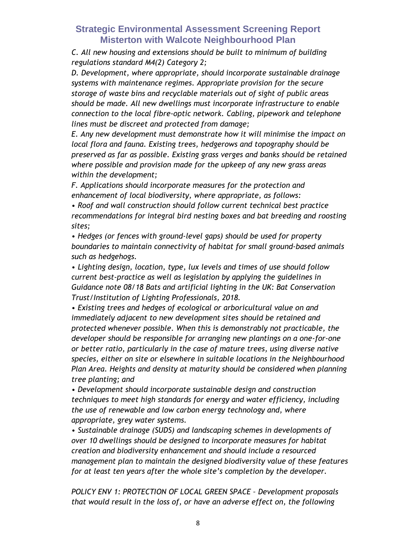*C. All new housing and extensions should be built to minimum of building regulations standard M4(2) Category 2;*

*D. Development, where appropriate, should incorporate sustainable drainage systems with maintenance regimes. Appropriate provision for the secure storage of waste bins and recyclable materials out of sight of public areas should be made. All new dwellings must incorporate infrastructure to enable connection to the local fibre-optic network. Cabling, pipework and telephone lines must be discreet and protected from damage;*

*E. Any new development must demonstrate how it will minimise the impact on local flora and fauna. Existing trees, hedgerows and topography should be preserved as far as possible. Existing grass verges and banks should be retained where possible and provision made for the upkeep of any new grass areas within the development;*

*F. Applications should incorporate measures for the protection and enhancement of local biodiversity, where appropriate, as follows:*

*• Roof and wall construction should follow current technical best practice recommendations for integral bird nesting boxes and bat breeding and roosting sites;*

*• Hedges (or fences with ground-level gaps) should be used for property boundaries to maintain connectivity of habitat for small ground-based animals such as hedgehogs.*

*• Lighting design, location, type, lux levels and times of use should follow current best-practice as well as legislation by applying the guidelines in Guidance note 08/18 Bats and artificial lighting in the UK: Bat Conservation Trust/Institution of Lighting Professionals, 2018.*

*• Existing trees and hedges of ecological or arboricultural value on and immediately adjacent to new development sites should be retained and protected whenever possible. When this is demonstrably not practicable, the developer should be responsible for arranging new plantings on a one-for-one or better ratio, particularly in the case of mature trees, using diverse native species, either on site or elsewhere in suitable locations in the Neighbourhood Plan Area. Heights and density at maturity should be considered when planning tree planting; and*

*• Development should incorporate sustainable design and construction techniques to meet high standards for energy and water efficiency, including the use of renewable and low carbon energy technology and, where appropriate, grey water systems.*

*• Sustainable drainage (SUDS) and landscaping schemes in developments of over 10 dwellings should be designed to incorporate measures for habitat creation and biodiversity enhancement and should include a resourced management plan to maintain the designed biodiversity value of these features for at least ten years after the whole site's completion by the developer.*

*POLICY ENV 1: PROTECTION OF LOCAL GREEN SPACE – Development proposals that would result in the loss of, or have an adverse effect on, the following*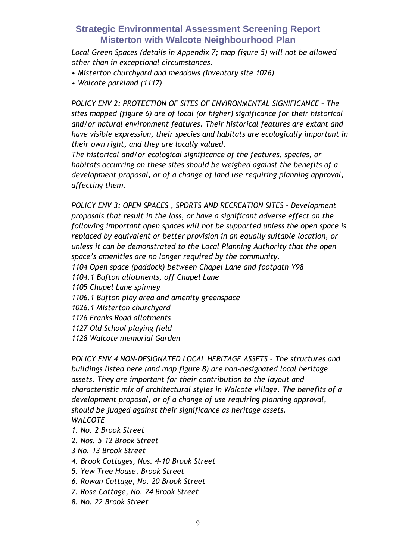*Local Green Spaces (details in Appendix 7; map figure 5) will not be allowed other than in exceptional circumstances.*

- *Misterton churchyard and meadows (inventory site 1026)*
- *Walcote parkland (1117)*

*POLICY ENV 2: PROTECTION OF SITES OF ENVIRONMENTAL SIGNIFICANCE – The sites mapped (figure 6) are of local (or higher) significance for their historical and/or natural environment features. Their historical features are extant and have visible expression, their species and habitats are ecologically important in their own right, and they are locally valued.*

*The historical and/or ecological significance of the features, species, or habitats occurring on these sites should be weighed against the benefits of a development proposal, or of a change of land use requiring planning approval, affecting them.*

*POLICY ENV 3: OPEN SPACES , SPORTS AND RECREATION SITES - Development proposals that result in the loss, or have a significant adverse effect on the following important open spaces will not be supported unless the open space is replaced by equivalent or better provision in an equally suitable location, or unless it can be demonstrated to the Local Planning Authority that the open space's amenities are no longer required by the community. 1104 Open space (paddock) between Chapel Lane and footpath Y98 1104.1 Bufton allotments, off Chapel Lane 1105 Chapel Lane spinney 1106.1 Bufton play area and amenity greenspace 1026.1 Misterton churchyard 1126 Franks Road allotments 1127 Old School playing field 1128 Walcote memorial Garden*

*POLICY ENV 4 NON-DESIGNATED LOCAL HERITAGE ASSETS – The structures and buildings listed here (and map figure 8) are non-designated local heritage assets. They are important for their contribution to the layout and characteristic mix of architectural styles in Walcote village. The benefits of a development proposal, or of a change of use requiring planning approval, should be judged against their significance as heritage assets. WALCOTE*

- *1. No. 2 Brook Street*
- *2. Nos. 5-12 Brook Street*
- *3 No. 13 Brook Street*
- *4. Brook Cottages, Nos. 4-10 Brook Street*
- *5. Yew Tree House, Brook Street*
- *6. Rowan Cottage, No. 20 Brook Street*
- *7. Rose Cottage, No. 24 Brook Street*
- *8. No. 22 Brook Street*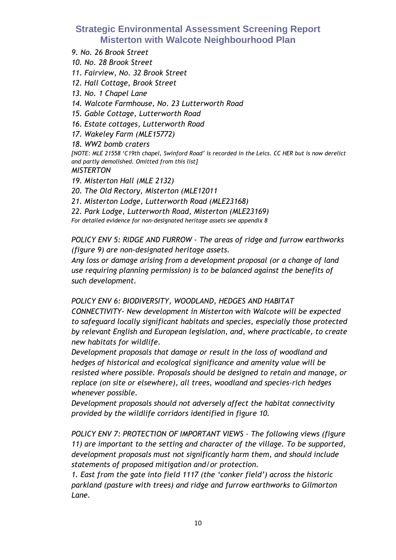*9. No. 26 Brook Street*

*10. No. 28 Brook Street*

*11. Fairview, No. 32 Brook Street*

- *12. Hall Cottage, Brook Street*
- *13. No. 1 Chapel Lane*
- *14. Walcote Farmhouse, No. 23 Lutterworth Road*
- *15. Gable Cottage, Lutterworth Road*
- *16. Estate cottages, Lutterworth Road*
- *17. Wakeley Farm (MLE15772)*
- *18. WW2 bomb craters*

*[NOTE: MLE 21558 'C19th chapel, Swinford Road' is recorded in the Leics. CC HER but is now derelict and partly demolished. Omitted from this list]*

*MISTERTON*

- *19. Misterton Hall (MLE 2132)*
- *20. The Old Rectory, Misterton (MLE12011*
- *21. Misterton Lodge, Lutterworth Road (MLE23168)*

*22. Park Lodge, Lutterworth Road, Misterton (MLE23169)*

*For detailed evidence for non-designated heritage assets see appendix 8*

*POLICY ENV 5: RIDGE AND FURROW - The areas of ridge and furrow earthworks (figure 9) are non-designated heritage assets.*

*Any loss or damage arising from a development proposal (or a change of land use requiring planning permission) is to be balanced against the benefits of such development.*

*POLICY ENV 6: BIODIVERSITY, WOODLAND, HEDGES AND HABITAT* 

*CONNECTIVITY- New development in Misterton with Walcote will be expected to safeguard locally significant habitats and species, especially those protected by relevant English and European legislation, and, where practicable, to create new habitats for wildlife.*

*Development proposals that damage or result in the loss of woodland and hedges of historical and ecological significance and amenity value will be resisted where possible. Proposals should be designed to retain and manage, or replace (on site or elsewhere), all trees, woodland and species-rich hedges whenever possible.*

*Development proposals should not adversely affect the habitat connectivity provided by the wildlife corridors identified in figure 10.*

*POLICY ENV 7: PROTECTION OF IMPORTANT VIEWS – The following views (figure 11) are important to the setting and character of the village. To be supported, development proposals must not significantly harm them, and should include statements of proposed mitigation and/or protection.*

*1. East from the gate into field 1117 (the 'conker field') across the historic parkland (pasture with trees) and ridge and furrow earthworks to Gilmorton Lane.*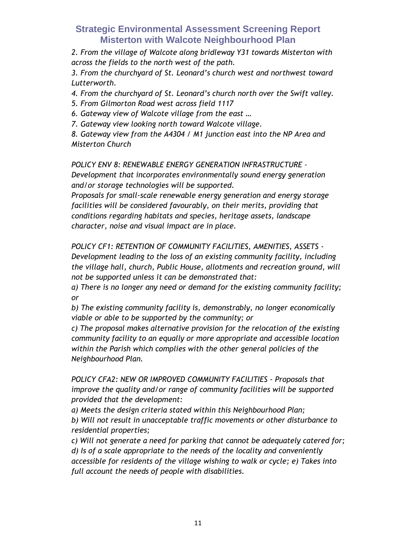*2. From the village of Walcote along bridleway Y31 towards Misterton with across the fields to the north west of the path.*

*3. From the churchyard of St. Leonard's church west and northwest toward Lutterworth.*

*4. From the churchyard of St. Leonard's church north over the Swift valley.*

*5. From Gilmorton Road west across field 1117*

*6. Gateway view of Walcote village from the east …*

*7. Gateway view looking north toward Walcote village.*

*8. Gateway view from the A4304 / M1 junction east into the NP Area and Misterton Church*

*POLICY ENV 8: RENEWABLE ENERGY GENERATION INFRASTRUCTURE –*

*Development that incorporates environmentally sound energy generation and/or storage technologies will be supported.*

*Proposals for small-scale renewable energy generation and energy storage facilities will be considered favourably, on their merits, providing that conditions regarding habitats and species, heritage assets, landscape character, noise and visual impact are in place.*

*POLICY CF1: RETENTION OF COMMUNITY FACILITIES, AMENITIES, ASSETS - Development leading to the loss of an existing community facility, including the village hall, church, Public House, allotments and recreation ground, will not be supported unless it can be demonstrated that:*

*a) There is no longer any need or demand for the existing community facility; or*

*b) The existing community facility is, demonstrably, no longer economically viable or able to be supported by the community; or*

*c) The proposal makes alternative provision for the relocation of the existing community facility to an equally or more appropriate and accessible location within the Parish which complies with the other general policies of the Neighbourhood Plan.*

*POLICY CFA2: NEW OR IMPROVED COMMUNITY FACILITIES - Proposals that improve the quality and/or range of community facilities will be supported provided that the development:*

*a) Meets the design criteria stated within this Neighbourhood Plan; b) Will not result in unacceptable traffic movements or other disturbance to residential properties;*

*c) Will not generate a need for parking that cannot be adequately catered for; d) Is of a scale appropriate to the needs of the locality and conveniently accessible for residents of the village wishing to walk or cycle; e) Takes into full account the needs of people with disabilities.*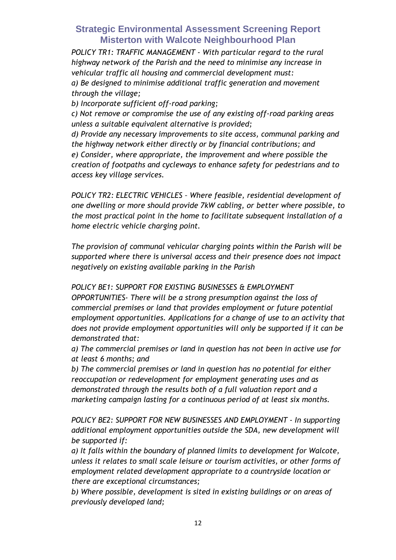*POLICY TR1: TRAFFIC MANAGEMENT - With particular regard to the rural highway network of the Parish and the need to minimise any increase in vehicular traffic all housing and commercial development must: a) Be designed to minimise additional traffic generation and movement through the village;* 

*b) Incorporate sufficient off-road parking;* 

*c) Not remove or compromise the use of any existing off-road parking areas unless a suitable equivalent alternative is provided;* 

*d) Provide any necessary improvements to site access, communal parking and the highway network either directly or by financial contributions; and e) Consider, where appropriate, the improvement and where possible the creation of footpaths and cycleways to enhance safety for pedestrians and to access key village services.*

*POLICY TR2: ELECTRIC VEHICLES – Where feasible, residential development of one dwelling or more should provide 7kW cabling, or better where possible, to the most practical point in the home to facilitate subsequent installation of a home electric vehicle charging point.* 

*The provision of communal vehicular charging points within the Parish will be supported where there is universal access and their presence does not impact negatively on existing available parking in the Parish*

*POLICY BE1: SUPPORT FOR EXISTING BUSINESSES & EMPLOYMENT OPPORTUNITIES- There will be a strong presumption against the loss of commercial premises or land that provides employment or future potential employment opportunities. Applications for a change of use to an activity that does not provide employment opportunities will only be supported if it can be demonstrated that:* 

*a) The commercial premises or land in question has not been in active use for at least 6 months; and* 

*b) The commercial premises or land in question has no potential for either reoccupation or redevelopment for employment generating uses and as demonstrated through the results both of a full valuation report and a marketing campaign lasting for a continuous period of at least six months.*

*POLICY BE2: SUPPORT FOR NEW BUSINESSES AND EMPLOYMENT - In supporting additional employment opportunities outside the SDA, new development will be supported if:* 

*a) It falls within the boundary of planned limits to development for Walcote, unless it relates to small scale leisure or tourism activities, or other forms of employment related development appropriate to a countryside location or there are exceptional circumstances;* 

*b) Where possible, development is sited in existing buildings or on areas of previously developed land;*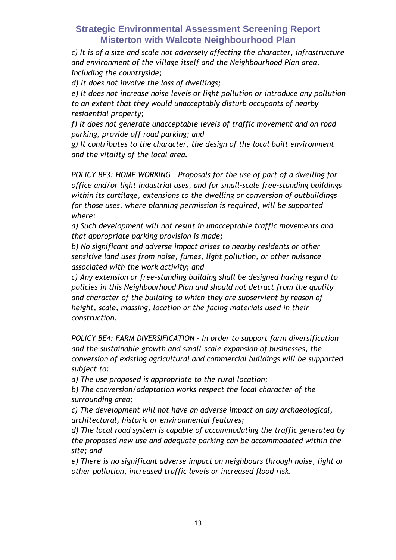*c) It is of a size and scale not adversely affecting the character, infrastructure and environment of the village itself and the Neighbourhood Plan area, including the countryside;* 

*d) It does not involve the loss of dwellings;* 

*e) It does not increase noise levels or light pollution or introduce any pollution to an extent that they would unacceptably disturb occupants of nearby residential property;* 

*f) It does not generate unacceptable levels of traffic movement and on road parking, provide off road parking; and* 

*g) It contributes to the character, the design of the local built environment and the vitality of the local area.*

*POLICY BE3: HOME WORKING - Proposals for the use of part of a dwelling for office and/or light industrial uses, and for small-scale free-standing buildings within its curtilage, extensions to the dwelling or conversion of outbuildings for those uses, where planning permission is required, will be supported where:* 

*a) Such development will not result in unacceptable traffic movements and that appropriate parking provision is made;* 

*b) No significant and adverse impact arises to nearby residents or other sensitive land uses from noise, fumes, light pollution, or other nuisance associated with the work activity; and* 

*c) Any extension or free-standing building shall be designed having regard to policies in this Neighbourhood Plan and should not detract from the quality and character of the building to which they are subservient by reason of height, scale, massing, location or the facing materials used in their construction.*

*POLICY BE4: FARM DIVERSIFICATION - In order to support farm diversification and the sustainable growth and small-scale expansion of businesses, the conversion of existing agricultural and commercial buildings will be supported subject to:* 

*a) The use proposed is appropriate to the rural location;* 

*b) The conversion/adaptation works respect the local character of the surrounding area;* 

*c) The development will not have an adverse impact on any archaeological, architectural, historic or environmental features;* 

*d) The local road system is capable of accommodating the traffic generated by the proposed new use and adequate parking can be accommodated within the site; and* 

*e) There is no significant adverse impact on neighbours through noise, light or other pollution, increased traffic levels or increased flood risk.*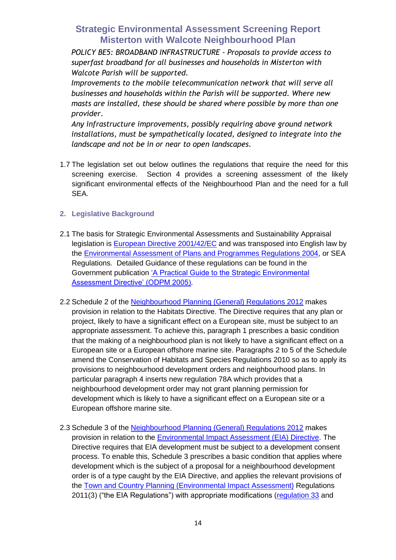*POLICY BE5: BROADBAND INFRASTRUCTURE - Proposals to provide access to superfast broadband for all businesses and households in Misterton with Walcote Parish will be supported.* 

*Improvements to the mobile telecommunication network that will serve all businesses and households within the Parish will be supported. Where new masts are installed, these should be shared where possible by more than one provider.* 

*Any infrastructure improvements, possibly requiring above ground network installations, must be sympathetically located, designed to integrate into the landscape and not be in or near to open landscapes.*

1.7 The legislation set out below outlines the regulations that require the need for this screening exercise. Section 4 provides a screening assessment of the likely significant environmental effects of the Neighbourhood Plan and the need for a full SEA.

#### **2. Legislative Background**

- 2.1 The basis for Strategic Environmental Assessments and Sustainability Appraisal legislation is [European Directive 2001/42/EC](http://eur-lex.europa.eu/LexUriServ/LexUriServ.do?uri=CELEX:32001L0042:EN:NOT) and was transposed into English law by the [Environmental Assessment of Plans and Programmes Regulations 2004,](http://www.legislation.gov.uk/uksi/2004/1633/contents/made) or SEA Regulations. Detailed Guidance of these regulations can be found in the Government publication ['A Practical Guide to the Strategic Environmental](http://www.communities.gov.uk/documents/planningandbuilding/pdf/practicalguidesea.pdf)  [Assessment Directive' \(ODPM 2005\).](http://www.communities.gov.uk/documents/planningandbuilding/pdf/practicalguidesea.pdf)
- 2.2 Schedule 2 of the [Neighbourhood Planning \(General\) Regulations 2012](http://www.legislation.gov.uk/uksi/2012/637/contents/made) makes provision in relation to the Habitats Directive. The Directive requires that any plan or project, likely to have a significant effect on a European site, must be subject to an appropriate assessment. To achieve this, paragraph 1 prescribes a basic condition that the making of a neighbourhood plan is not likely to have a significant effect on a European site or a European offshore marine site. Paragraphs 2 to 5 of the Schedule amend the Conservation of Habitats and Species Regulations 2010 so as to apply its provisions to neighbourhood development orders and neighbourhood plans. In particular paragraph 4 inserts new regulation 78A which provides that a neighbourhood development order may not grant planning permission for development which is likely to have a significant effect on a European site or a European offshore marine site.
- 2.3 Schedule 3 of the [Neighbourhood Planning \(General\) Regulations 2012](http://www.legislation.gov.uk/uksi/2012/637/contents/made) makes provision in relation to the **Environmental Impact Assessment (EIA) Directive**. The Directive requires that EIA development must be subject to a development consent process. To enable this, Schedule 3 prescribes a basic condition that applies where development which is the subject of a proposal for a neighbourhood development order is of a type caught by the EIA Directive, and applies the relevant provisions of the [Town and Country Planning \(Environmental Impact Assessment\)](http://www.legislation.gov.uk/uksi/2011/1824/contents/made) Regulations 2011[\(3\)](http://www.legislation.gov.uk/uksi/2012/637/note/made#f00037#f00037) ("the EIA Regulations") with appropriate modifications [\(regulation 33](http://www.legislation.gov.uk/uksi/2011/1824/regulation/33/made) and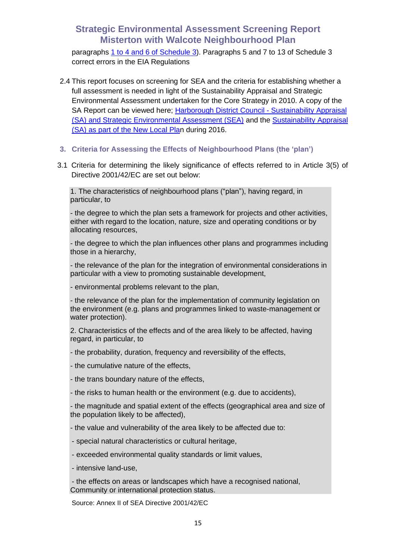paragraphs [1 to 4 and 6 of Schedule 3\)](http://www.legislation.gov.uk/uksi/2011/1824/schedule/3/made). Paragraphs 5 and 7 to 13 of Schedule 3 correct errors in the EIA Regulations

- 2.4 This report focuses on screening for SEA and the criteria for establishing whether a full assessment is needed in light of the Sustainability Appraisal and Strategic Environmental Assessment undertaken for the Core Strategy in 2010. A copy of the SA Report can be viewed here; [Harborough District Council -](http://www.harborough.gov.uk/directory_record/562/sustainability_appraisal_and_strategic_environmental_assessment) Sustainability Appraisal [\(SA\) and Strategic Environmental Assessment \(SEA\)](http://www.harborough.gov.uk/directory_record/562/sustainability_appraisal_and_strategic_environmental_assessment) and the [Sustainability Appraisal](http://www.harborough.gov.uk/directory_record/724/sustainability_appraisal_and_strategic_environmental_assessment_-_new_local_plan)  [\(SA\) as part of the New Local Plan](http://www.harborough.gov.uk/directory_record/724/sustainability_appraisal_and_strategic_environmental_assessment_-_new_local_plan) during 2016.
- **3. Criteria for Assessing the Effects of Neighbourhood Plans (the 'plan')**
- 3.1 Criteria for determining the likely significance of effects referred to in Article 3(5) of Directive 2001/42/EC are set out below:

1. The characteristics of neighbourhood plans ("plan"), having regard, in particular, to

- the degree to which the plan sets a framework for projects and other activities, either with regard to the location, nature, size and operating conditions or by allocating resources,

- the degree to which the plan influences other plans and programmes including those in a hierarchy,

- the relevance of the plan for the integration of environmental considerations in particular with a view to promoting sustainable development,

- environmental problems relevant to the plan,

- the relevance of the plan for the implementation of community legislation on the environment (e.g. plans and programmes linked to waste-management or water protection).

2. Characteristics of the effects and of the area likely to be affected, having regard, in particular, to

- the probability, duration, frequency and reversibility of the effects,

- the cumulative nature of the effects,

- the trans boundary nature of the effects,

- the risks to human health or the environment (e.g. due to accidents),

- the magnitude and spatial extent of the effects (geographical area and size of the population likely to be affected),

- the value and vulnerability of the area likely to be affected due to:

- special natural characteristics or cultural heritage,
- exceeded environmental quality standards or limit values,
- intensive land-use,

- the effects on areas or landscapes which have a recognised national, Community or international protection status.

Source: Annex II of SEA Directive 2001/42/EC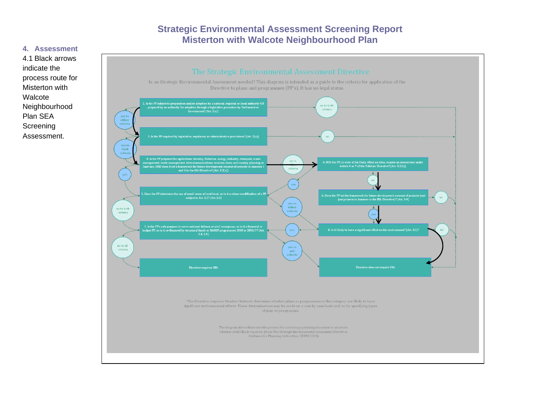#### **4. Assessment**



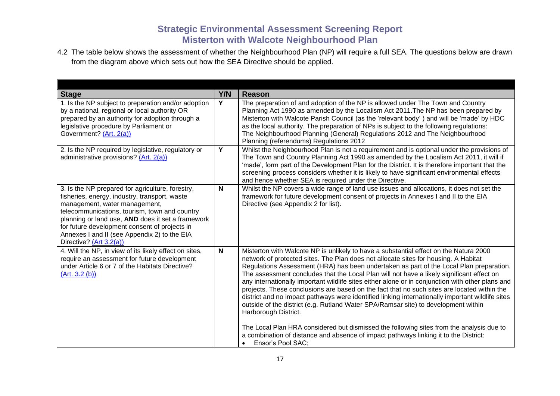4.2 The table below shows the assessment of whether the Neighbourhood Plan (NP) will require a full SEA. The questions below are drawn from the diagram above which sets out how the SEA Directive should be applied.

| <b>Stage</b>                                                                                                                                                                                                                                                                                                                                                         | Y/N          | <b>Reason</b>                                                                                                                                                                                                                                                                                                                                                                                                                                                                                                                                                                                                                                                                                                                                                                                                                                                                                                                                                                                                   |
|----------------------------------------------------------------------------------------------------------------------------------------------------------------------------------------------------------------------------------------------------------------------------------------------------------------------------------------------------------------------|--------------|-----------------------------------------------------------------------------------------------------------------------------------------------------------------------------------------------------------------------------------------------------------------------------------------------------------------------------------------------------------------------------------------------------------------------------------------------------------------------------------------------------------------------------------------------------------------------------------------------------------------------------------------------------------------------------------------------------------------------------------------------------------------------------------------------------------------------------------------------------------------------------------------------------------------------------------------------------------------------------------------------------------------|
| 1. Is the NP subject to preparation and/or adoption<br>by a national, regional or local authority OR<br>prepared by an authority for adoption through a<br>legislative procedure by Parliament or<br>Government? (Art. 2(a))                                                                                                                                         | Y            | The preparation of and adoption of the NP is allowed under The Town and Country<br>Planning Act 1990 as amended by the Localism Act 2011. The NP has been prepared by<br>Misterton with Walcote Parish Council (as the 'relevant body') and will be 'made' by HDC<br>as the local authority. The preparation of NPs is subject to the following regulations:<br>The Neighbourhood Planning (General) Regulations 2012 and The Neighbourhood<br>Planning (referendums) Regulations 2012                                                                                                                                                                                                                                                                                                                                                                                                                                                                                                                          |
| 2. Is the NP required by legislative, regulatory or<br>administrative provisions? (Art. 2(a))                                                                                                                                                                                                                                                                        | Y            | Whilst the Neighbourhood Plan is not a requirement and is optional under the provisions of<br>The Town and Country Planning Act 1990 as amended by the Localism Act 2011, it will if<br>'made', form part of the Development Plan for the District. It is therefore important that the<br>screening process considers whether it is likely to have significant environmental effects<br>and hence whether SEA is required under the Directive.                                                                                                                                                                                                                                                                                                                                                                                                                                                                                                                                                                  |
| 3. Is the NP prepared for agriculture, forestry,<br>fisheries, energy, industry, transport, waste<br>management, water management,<br>telecommunications, tourism, town and country<br>planning or land use, AND does it set a framework<br>for future development consent of projects in<br>Annexes I and II (see Appendix 2) to the EIA<br>Directive? (Art 3.2(a)) | N            | Whilst the NP covers a wide range of land use issues and allocations, it does not set the<br>framework for future development consent of projects in Annexes I and II to the EIA<br>Directive (see Appendix 2 for list).                                                                                                                                                                                                                                                                                                                                                                                                                                                                                                                                                                                                                                                                                                                                                                                        |
| 4. Will the NP, in view of its likely effect on sites,<br>require an assessment for future development<br>under Article 6 or 7 of the Habitats Directive?<br>(Art. 3.2 (b))                                                                                                                                                                                          | $\mathsf{N}$ | Misterton with Walcote NP is unlikely to have a substantial effect on the Natura 2000<br>network of protected sites. The Plan does not allocate sites for housing. A Habitat<br>Regulations Assessment (HRA) has been undertaken as part of the Local Plan preparation.<br>The assessment concludes that the Local Plan will not have a likely significant effect on<br>any internationally important wildlife sites either alone or in conjunction with other plans and<br>projects. These conclusions are based on the fact that no such sites are located within the<br>district and no impact pathways were identified linking internationally important wildlife sites<br>outside of the district (e.g. Rutland Water SPA/Ramsar site) to development within<br>Harborough District.<br>The Local Plan HRA considered but dismissed the following sites from the analysis due to<br>a combination of distance and absence of impact pathways linking it to the District:<br>Ensor's Pool SAC;<br>$\bullet$ |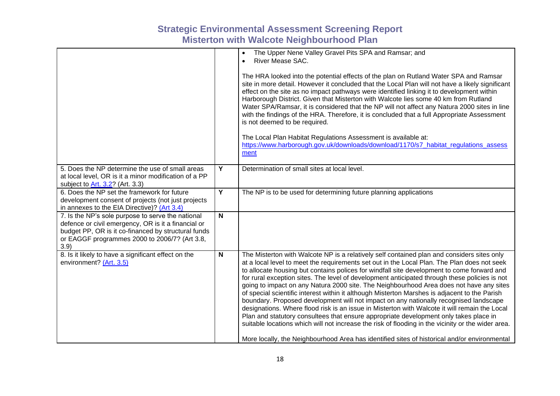|                                                                                                                                                                                                                          |                | The Upper Nene Valley Gravel Pits SPA and Ramsar; and<br>$\bullet$<br>River Mease SAC.<br>$\bullet$<br>The HRA looked into the potential effects of the plan on Rutland Water SPA and Ramsar<br>site in more detail. However it concluded that the Local Plan will not have a likely significant<br>effect on the site as no impact pathways were identified linking it to development within<br>Harborough District. Given that Misterton with Walcote lies some 40 km from Rutland<br>Water SPA/Ramsar, it is considered that the NP will not affect any Natura 2000 sites in line<br>with the findings of the HRA. Therefore, it is concluded that a full Appropriate Assessment<br>is not deemed to be required.<br>The Local Plan Habitat Regulations Assessment is available at:<br>https://www.harborough.gov.uk/downloads/download/1170/s7_habitat_regulations_assess<br>ment                                                                                                                                                                                         |
|--------------------------------------------------------------------------------------------------------------------------------------------------------------------------------------------------------------------------|----------------|-------------------------------------------------------------------------------------------------------------------------------------------------------------------------------------------------------------------------------------------------------------------------------------------------------------------------------------------------------------------------------------------------------------------------------------------------------------------------------------------------------------------------------------------------------------------------------------------------------------------------------------------------------------------------------------------------------------------------------------------------------------------------------------------------------------------------------------------------------------------------------------------------------------------------------------------------------------------------------------------------------------------------------------------------------------------------------|
| 5. Does the NP determine the use of small areas<br>at local level, OR is it a minor modification of a PP<br>subject to Art. 3.2? (Art. 3.3)                                                                              | Y              | Determination of small sites at local level.                                                                                                                                                                                                                                                                                                                                                                                                                                                                                                                                                                                                                                                                                                                                                                                                                                                                                                                                                                                                                                  |
| 6. Does the NP set the framework for future<br>development consent of projects (not just projects<br>in annexes to the EIA Directive)? (Art 3.4)                                                                         | $\overline{Y}$ | The NP is to be used for determining future planning applications                                                                                                                                                                                                                                                                                                                                                                                                                                                                                                                                                                                                                                                                                                                                                                                                                                                                                                                                                                                                             |
| 7. Is the NP's sole purpose to serve the national<br>defence or civil emergency, OR is it a financial or<br>budget PP, OR is it co-financed by structural funds<br>or EAGGF programmes 2000 to 2006/7? (Art 3.8,<br>3.9) | N              |                                                                                                                                                                                                                                                                                                                                                                                                                                                                                                                                                                                                                                                                                                                                                                                                                                                                                                                                                                                                                                                                               |
| 8. Is it likely to have a significant effect on the<br>environment? (Art. 3.5)                                                                                                                                           | N              | The Misterton with Walcote NP is a relatively self contained plan and considers sites only<br>at a local level to meet the requirements set out in the Local Plan. The Plan does not seek<br>to allocate housing but contains polices for windfall site development to come forward and<br>for rural exception sites. The level of development anticipated through these policies is not<br>going to impact on any Natura 2000 site. The Neighbourhood Area does not have any sites<br>of special scientific interest within it although Misterton Marshes is adjacent to the Parish<br>boundary. Proposed development will not impact on any nationally recognised landscape<br>designations. Where flood risk is an issue in Misterton with Walcote it will remain the Local<br>Plan and statutory consultees that ensure appropriate development only takes place in<br>suitable locations which will not increase the risk of flooding in the vicinity or the wider area.<br>More locally, the Neighbourhood Area has identified sites of historical and/or environmental |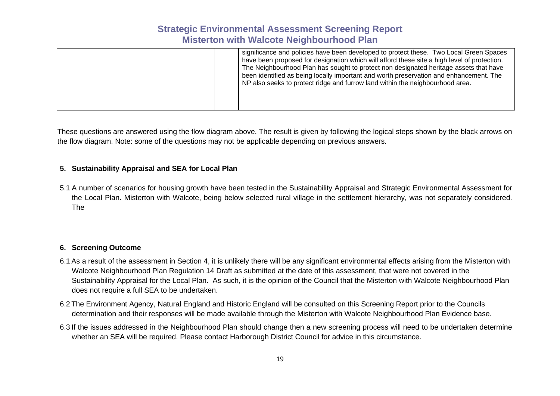|  | significance and policies have been developed to protect these. Two Local Green Spaces<br>have been proposed for designation which will afford these site a high level of protection.<br>The Neighbourhood Plan has sought to protect non designated heritage assets that have<br>been identified as being locally important and worth preservation and enhancement. The<br>NP also seeks to protect ridge and furrow land within the neighbourhood area. |
|--|-----------------------------------------------------------------------------------------------------------------------------------------------------------------------------------------------------------------------------------------------------------------------------------------------------------------------------------------------------------------------------------------------------------------------------------------------------------|
|  |                                                                                                                                                                                                                                                                                                                                                                                                                                                           |

These questions are answered using the flow diagram above. The result is given by following the logical steps shown by the black arrows on the flow diagram. Note: some of the questions may not be applicable depending on previous answers.

#### **5. Sustainability Appraisal and SEA for Local Plan**

5.1 A number of scenarios for housing growth have been tested in the Sustainability Appraisal and Strategic Environmental Assessment for the Local Plan. Misterton with Walcote, being below selected rural village in the settlement hierarchy, was not separately considered. The

#### **6. Screening Outcome**

- 6.1 As a result of the assessment in Section 4, it is unlikely there will be any significant environmental effects arising from the Misterton with Walcote Neighbourhood Plan Regulation 14 Draft as submitted at the date of this assessment, that were not covered in the Sustainability Appraisal for the Local Plan. As such, it is the opinion of the Council that the Misterton with Walcote Neighbourhood Plan does not require a full SEA to be undertaken.
- 6.2 The Environment Agency, Natural England and Historic England will be consulted on this Screening Report prior to the Councils determination and their responses will be made available through the Misterton with Walcote Neighbourhood Plan Evidence base.
- 6.3 If the issues addressed in the Neighbourhood Plan should change then a new screening process will need to be undertaken determine whether an SEA will be required. Please contact Harborough District Council for advice in this circumstance.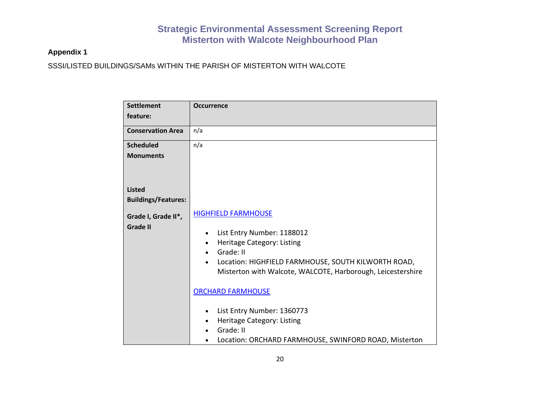### **Appendix 1**

SSSI/LISTED BUILDINGS/SAMs WITHIN THE PARISH OF MISTERTON WITH WALCOTE

| <b>Settlement</b>                      | <b>Occurrence</b>                                                                                                                                                                                                                                   |
|----------------------------------------|-----------------------------------------------------------------------------------------------------------------------------------------------------------------------------------------------------------------------------------------------------|
| feature:                               |                                                                                                                                                                                                                                                     |
| <b>Conservation Area</b>               | n/a                                                                                                                                                                                                                                                 |
| <b>Scheduled</b>                       | n/a                                                                                                                                                                                                                                                 |
| <b>Monuments</b>                       |                                                                                                                                                                                                                                                     |
| <b>Listed</b>                          |                                                                                                                                                                                                                                                     |
| <b>Buildings/Features:</b>             |                                                                                                                                                                                                                                                     |
| Grade I, Grade II*,<br><b>Grade II</b> | <b>HIGHFIELD FARMHOUSE</b><br>List Entry Number: 1188012<br>$\bullet$<br>Heritage Category: Listing<br>$\bullet$<br>Grade: II<br>Location: HIGHFIELD FARMHOUSE, SOUTH KILWORTH ROAD,<br>Misterton with Walcote, WALCOTE, Harborough, Leicestershire |
|                                        | <b>ORCHARD FARMHOUSE</b><br>List Entry Number: 1360773<br>Heritage Category: Listing<br>Grade: II<br>Location: ORCHARD FARMHOUSE, SWINFORD ROAD, Misterton                                                                                          |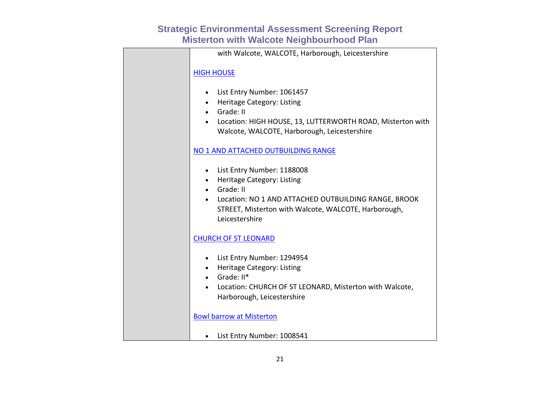| with Walcote, WALCOTE, Harborough, Leicestershire                                                                                                                                                                                   |
|-------------------------------------------------------------------------------------------------------------------------------------------------------------------------------------------------------------------------------------|
| <b>HIGH HOUSE</b>                                                                                                                                                                                                                   |
| • List Entry Number: 1061457<br>Heritage Category: Listing<br>$\bullet$<br>• Grade: II<br>Location: HIGH HOUSE, 13, LUTTERWORTH ROAD, Misterton with<br>Walcote, WALCOTE, Harborough, Leicestershire                                |
| NO 1 AND ATTACHED OUTBUILDING RANGE                                                                                                                                                                                                 |
| • List Entry Number: 1188008<br>Heritage Category: Listing<br>$\bullet$<br>Grade: II<br>$\bullet$<br>Location: NO 1 AND ATTACHED OUTBUILDING RANGE, BROOK<br>STREET, Misterton with Walcote, WALCOTE, Harborough,<br>Leicestershire |
| <b>CHURCH OF ST LEONARD</b>                                                                                                                                                                                                         |
| • List Entry Number: 1294954<br>• Heritage Category: Listing<br>$\bullet$ Grade: $II^*$<br>Location: CHURCH OF ST LEONARD, Misterton with Walcote,<br>Harborough, Leicestershire                                                    |
| <b>Bowl barrow at Misterton</b>                                                                                                                                                                                                     |
| List Entry Number: 1008541<br>$\bullet$                                                                                                                                                                                             |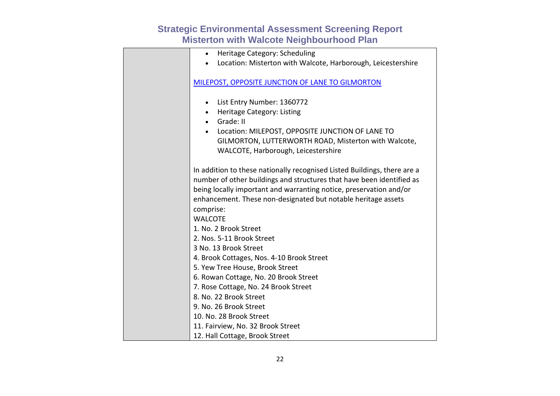| Heritage Category: Scheduling<br>$\bullet$                               |
|--------------------------------------------------------------------------|
| Location: Misterton with Walcote, Harborough, Leicestershire             |
|                                                                          |
| MILEPOST, OPPOSITE JUNCTION OF LANE TO GILMORTON                         |
|                                                                          |
| List Entry Number: 1360772<br>$\bullet$                                  |
| Heritage Category: Listing<br>$\bullet$                                  |
| Grade: II<br>$\bullet$                                                   |
| Location: MILEPOST, OPPOSITE JUNCTION OF LANE TO<br>$\bullet$            |
| GILMORTON, LUTTERWORTH ROAD, Misterton with Walcote,                     |
| WALCOTE, Harborough, Leicestershire                                      |
|                                                                          |
| In addition to these nationally recognised Listed Buildings, there are a |
| number of other buildings and structures that have been identified as    |
| being locally important and warranting notice, preservation and/or       |
| enhancement. These non-designated but notable heritage assets            |
| comprise:                                                                |
| <b>WALCOTE</b>                                                           |
| 1. No. 2 Brook Street                                                    |
| 2. Nos. 5-11 Brook Street                                                |
| 3 No. 13 Brook Street                                                    |
| 4. Brook Cottages, Nos. 4-10 Brook Street                                |
| 5. Yew Tree House, Brook Street                                          |
| 6. Rowan Cottage, No. 20 Brook Street                                    |
| 7. Rose Cottage, No. 24 Brook Street                                     |
| 8. No. 22 Brook Street                                                   |
| 9. No. 26 Brook Street                                                   |
| 10. No. 28 Brook Street                                                  |
| 11. Fairview, No. 32 Brook Street                                        |
| 12. Hall Cottage, Brook Street                                           |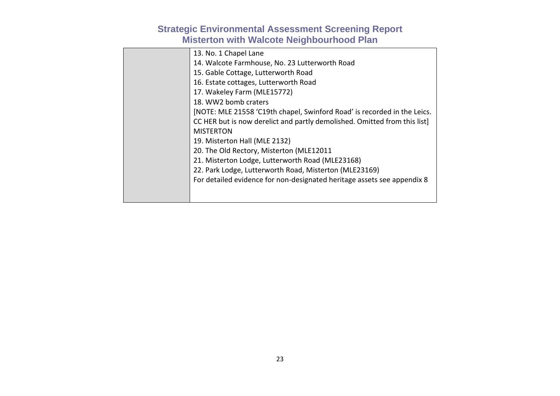| 13. No. 1 Chapel Lane                                                    |
|--------------------------------------------------------------------------|
| 14. Walcote Farmhouse, No. 23 Lutterworth Road                           |
| 15. Gable Cottage, Lutterworth Road                                      |
| 16. Estate cottages, Lutterworth Road                                    |
| 17. Wakeley Farm (MLE15772)                                              |
| 18. WW2 bomb craters                                                     |
| [NOTE: MLE 21558 'C19th chapel, Swinford Road' is recorded in the Leics. |
| CC HER but is now derelict and partly demolished. Omitted from this list |
| <b>MISTERTON</b>                                                         |
| 19. Misterton Hall (MLE 2132)                                            |
| 20. The Old Rectory, Misterton (MLE12011                                 |
| 21. Misterton Lodge, Lutterworth Road (MLE23168)                         |
| 22. Park Lodge, Lutterworth Road, Misterton (MLE23169)                   |
| For detailed evidence for non-designated heritage assets see appendix 8  |
|                                                                          |
|                                                                          |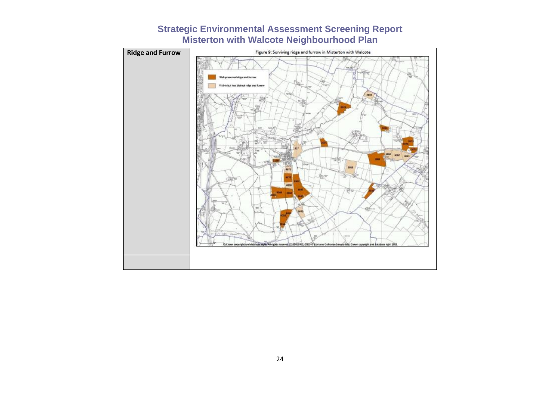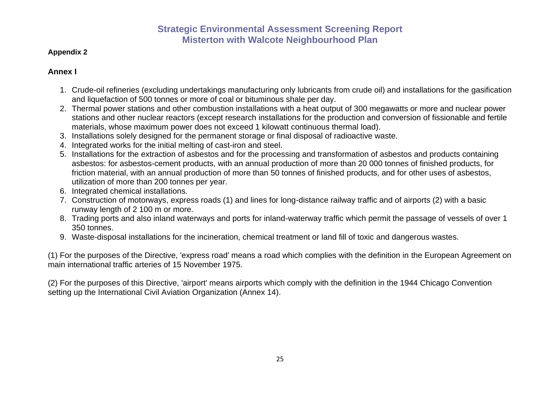#### **Appendix 2**

#### **Annex I**

- 1. Crude-oil refineries (excluding undertakings manufacturing only lubricants from crude oil) and installations for the gasification and liquefaction of 500 tonnes or more of coal or bituminous shale per day.
- 2. Thermal power stations and other combustion installations with a heat output of 300 megawatts or more and nuclear power stations and other nuclear reactors (except research installations for the production and conversion of fissionable and fertile materials, whose maximum power does not exceed 1 kilowatt continuous thermal load).
- 3. Installations solely designed for the permanent storage or final disposal of radioactive waste.
- 4. Integrated works for the initial melting of cast-iron and steel.
- 5. Installations for the extraction of asbestos and for the processing and transformation of asbestos and products containing asbestos: for asbestos-cement products, with an annual production of more than 20 000 tonnes of finished products, for friction material, with an annual production of more than 50 tonnes of finished products, and for other uses of asbestos, utilization of more than 200 tonnes per year.
- 6. Integrated chemical installations.
- 7. Construction of motorways, express roads (1) and lines for long-distance railway traffic and of airports (2) with a basic runway length of 2 100 m or more.
- 8. Trading ports and also inland waterways and ports for inland-waterway traffic which permit the passage of vessels of over 1 350 tonnes.
- 9. Waste-disposal installations for the incineration, chemical treatment or land fill of toxic and dangerous wastes.

(1) For the purposes of the Directive, 'express road' means a road which complies with the definition in the European Agreement on main international traffic arteries of 15 November 1975.

(2) For the purposes of this Directive, 'airport' means airports which comply with the definition in the 1944 Chicago Convention setting up the International Civil Aviation Organization (Annex 14).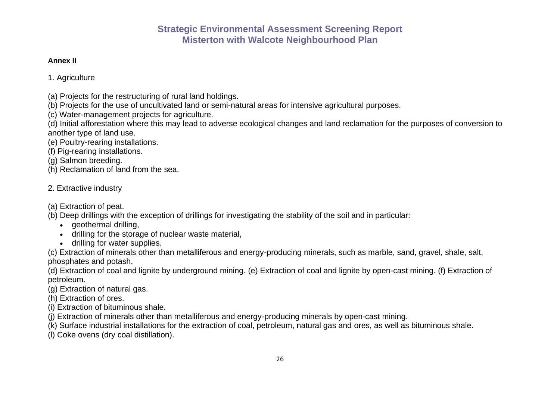#### **Annex II**

1. Agriculture

- (a) Projects for the restructuring of rural land holdings.
- (b) Projects for the use of uncultivated land or semi-natural areas for intensive agricultural purposes.
- (c) Water-management projects for agriculture.
- (d) Initial afforestation where this may lead to adverse ecological changes and land reclamation for the purposes of conversion to another type of land use.
- (e) Poultry-rearing installations.
- (f) Pig-rearing installations.
- (g) Salmon breeding.
- (h) Reclamation of land from the sea.

### 2. Extractive industry

(a) Extraction of peat.

- (b) Deep drillings with the exception of drillings for investigating the stability of the soil and in particular:
	- geothermal drilling,
	- drilling for the storage of nuclear waste material,
	- drilling for water supplies.
- (c) Extraction of minerals other than metalliferous and energy-producing minerals, such as marble, sand, gravel, shale, salt, phosphates and potash.
- (d) Extraction of coal and lignite by underground mining. (e) Extraction of coal and lignite by open-cast mining. (f) Extraction of petroleum.
- (g) Extraction of natural gas.
- (h) Extraction of ores.
- (i) Extraction of bituminous shale.
- (j) Extraction of minerals other than metalliferous and energy-producing minerals by open-cast mining.
- (k) Surface industrial installations for the extraction of coal, petroleum, natural gas and ores, as well as bituminous shale.
- (l) Coke ovens (dry coal distillation).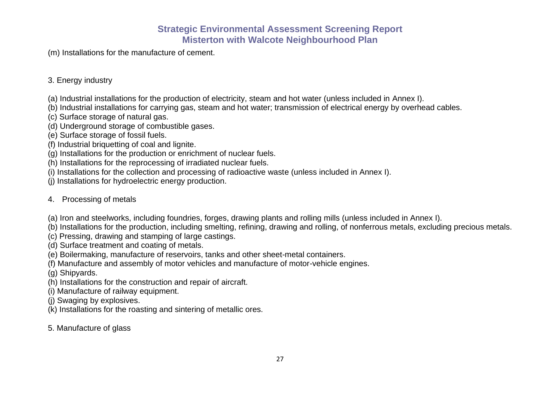(m) Installations for the manufacture of cement.

### 3. Energy industry

- (a) Industrial installations for the production of electricity, steam and hot water (unless included in Annex I).
- (b) Industrial installations for carrying gas, steam and hot water; transmission of electrical energy by overhead cables.
- (c) Surface storage of natural gas.
- (d) Underground storage of combustible gases.
- (e) Surface storage of fossil fuels.
- (f) Industrial briquetting of coal and lignite.
- (g) Installations for the production or enrichment of nuclear fuels.
- (h) Installations for the reprocessing of irradiated nuclear fuels.
- (i) Installations for the collection and processing of radioactive waste (unless included in Annex I).
- (j) Installations for hydroelectric energy production.

### 4. Processing of metals

- (a) Iron and steelworks, including foundries, forges, drawing plants and rolling mills (unless included in Annex I).
- (b) Installations for the production, including smelting, refining, drawing and rolling, of nonferrous metals, excluding precious metals.
- (c) Pressing, drawing and stamping of large castings.
- (d) Surface treatment and coating of metals.
- (e) Boilermaking, manufacture of reservoirs, tanks and other sheet-metal containers.
- (f) Manufacture and assembly of motor vehicles and manufacture of motor-vehicle engines.
- (g) Shipyards.
- (h) Installations for the construction and repair of aircraft.
- (i) Manufacture of railway equipment.
- (j) Swaging by explosives.
- (k) Installations for the roasting and sintering of metallic ores.
- 5. Manufacture of glass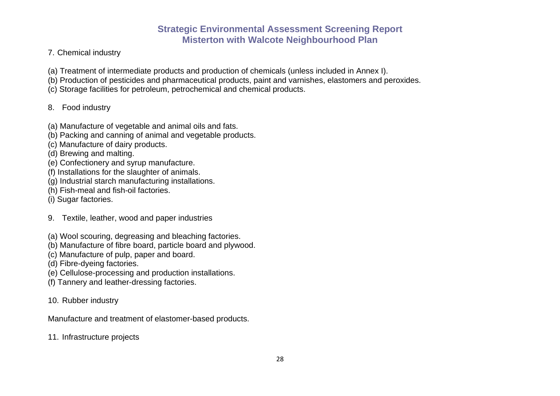- 7. Chemical industry
- (a) Treatment of intermediate products and production of chemicals (unless included in Annex I).
- (b) Production of pesticides and pharmaceutical products, paint and varnishes, elastomers and peroxides.
- (c) Storage facilities for petroleum, petrochemical and chemical products.

### 8. Food industry

- (a) Manufacture of vegetable and animal oils and fats.
- (b) Packing and canning of animal and vegetable products.
- (c) Manufacture of dairy products.
- (d) Brewing and malting.
- (e) Confectionery and syrup manufacture.
- (f) Installations for the slaughter of animals.
- (g) Industrial starch manufacturing installations.
- (h) Fish-meal and fish-oil factories.
- (i) Sugar factories.
- 9. Textile, leather, wood and paper industries
- (a) Wool scouring, degreasing and bleaching factories.
- (b) Manufacture of fibre board, particle board and plywood.
- (c) Manufacture of pulp, paper and board.
- (d) Fibre-dyeing factories.
- (e) Cellulose-processing and production installations.
- (f) Tannery and leather-dressing factories.
- 10. Rubber industry
- Manufacture and treatment of elastomer-based products.
- 11. Infrastructure projects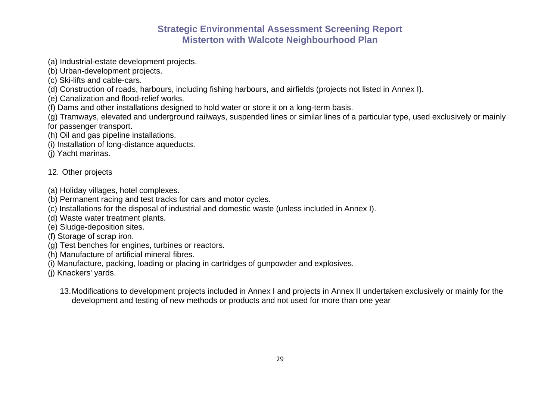- (a) Industrial-estate development projects.
- (b) Urban-development projects.
- (c) Ski-lifts and cable-cars.
- (d) Construction of roads, harbours, including fishing harbours, and airfields (projects not listed in Annex I).
- (e) Canalization and flood-relief works.
- (f) Dams and other installations designed to hold water or store it on a long-term basis.
- (g) Tramways, elevated and underground railways, suspended lines or similar lines of a particular type, used exclusively or mainly for passenger transport.
- (h) Oil and gas pipeline installations.
- (i) Installation of long-distance aqueducts.
- (j) Yacht marinas.

#### 12. Other projects

- (a) Holiday villages, hotel complexes.
- (b) Permanent racing and test tracks for cars and motor cycles.
- (c) Installations for the disposal of industrial and domestic waste (unless included in Annex I).
- (d) Waste water treatment plants.
- (e) Sludge-deposition sites.
- (f) Storage of scrap iron.
- (g) Test benches for engines, turbines or reactors.
- (h) Manufacture of artificial mineral fibres.
- (i) Manufacture, packing, loading or placing in cartridges of gunpowder and explosives.
- (j) Knackers' yards.
	- 13.Modifications to development projects included in Annex I and projects in Annex II undertaken exclusively or mainly for the development and testing of new methods or products and not used for more than one year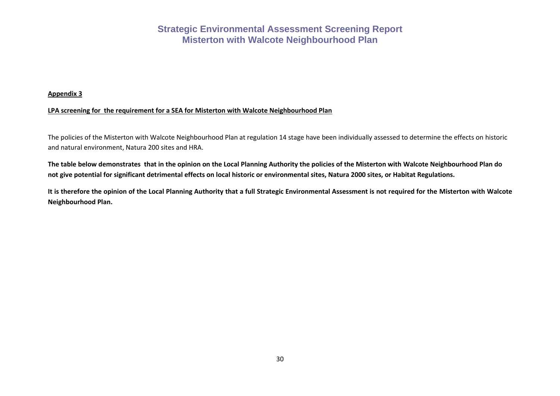#### **Appendix 3**

#### **LPA screening for the requirement for a SEA for Misterton with Walcote Neighbourhood Plan**

The policies of the Misterton with Walcote Neighbourhood Plan at regulation 14 stage have been individually assessed to determine the effects on historic and natural environment, Natura 200 sites and HRA.

**The table below demonstrates that in the opinion on the Local Planning Authority the policies of the Misterton with Walcote Neighbourhood Plan do not give potential for significant detrimental effects on local historic or environmental sites, Natura 2000 sites, or Habitat Regulations.**

**It is therefore the opinion of the Local Planning Authority that a full Strategic Environmental Assessment is not required for the Misterton with Walcote Neighbourhood Plan.**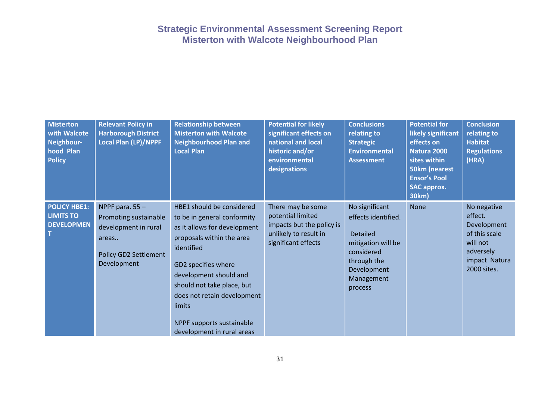| <b>Misterton</b><br>with Walcote<br>Neighbour-<br>hood Plan<br><b>Policy</b> | <b>Relevant Policy in</b><br><b>Harborough District</b><br><b>Local Plan (LP)/NPPF</b>                              | <b>Relationship between</b><br><b>Misterton with Walcote</b><br><b>Neighbourhood Plan and</b><br><b>Local Plan</b>                                                                                                                                                                                                     | <b>Potential for likely</b><br>significant effects on<br>national and local<br>historic and/or<br>environmental<br>designations | <b>Conclusions</b><br>relating to<br><b>Strategic</b><br><b>Environmental</b><br><b>Assessment</b>                                                  | <b>Potential for</b><br>likely significant<br>effects on<br>Natura 2000<br>sites within<br>50km (nearest<br><b>Ensor's Pool</b><br><b>SAC approx.</b><br>30km) | <b>Conclusion</b><br>relating to<br><b>Habitat</b><br><b>Regulations</b><br>(HRA)                               |
|------------------------------------------------------------------------------|---------------------------------------------------------------------------------------------------------------------|------------------------------------------------------------------------------------------------------------------------------------------------------------------------------------------------------------------------------------------------------------------------------------------------------------------------|---------------------------------------------------------------------------------------------------------------------------------|-----------------------------------------------------------------------------------------------------------------------------------------------------|----------------------------------------------------------------------------------------------------------------------------------------------------------------|-----------------------------------------------------------------------------------------------------------------|
| <b>POLICY HBE1:</b><br><b>LIMITS TO</b><br><b>DEVELOPMEN</b>                 | NPPF para. $55 -$<br>Promoting sustainable<br>development in rural<br>areas<br>Policy GD2 Settlement<br>Development | HBE1 should be considered<br>to be in general conformity<br>as it allows for development<br>proposals within the area<br>identified<br>GD2 specifies where<br>development should and<br>should not take place, but<br>does not retain development<br>limits<br>NPPF supports sustainable<br>development in rural areas | There may be some<br>potential limited<br>impacts but the policy is<br>unlikely to result in<br>significant effects             | No significant<br>effects identified.<br><b>Detailed</b><br>mitigation will be<br>considered<br>through the<br>Development<br>Management<br>process | <b>None</b>                                                                                                                                                    | No negative<br>effect.<br>Development<br>of this scale<br>will not<br>adversely<br>impact Natura<br>2000 sites. |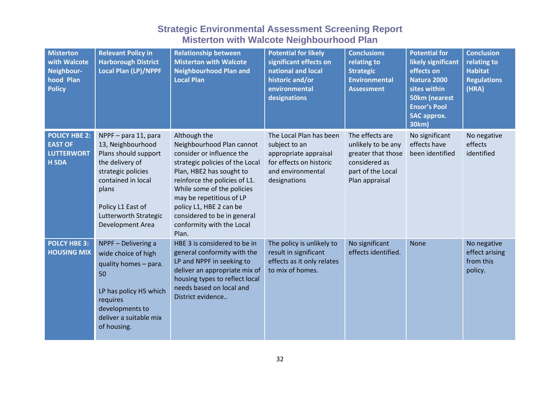| <b>Misterton</b><br>with Walcote<br>Neighbour-<br>hood Plan<br><b>Policy</b> | <b>Relevant Policy in</b><br><b>Harborough District</b><br><b>Local Plan (LP)/NPPF</b>                                                                                                                      | <b>Relationship between</b><br><b>Misterton with Walcote</b><br><b>Neighbourhood Plan and</b><br><b>Local Plan</b>                                                                                                                                                                                                               | <b>Potential for likely</b><br>significant effects on<br>national and local<br>historic and/or<br>environmental<br>designations   | <b>Conclusions</b><br>relating to<br><b>Strategic</b><br><b>Environmental</b><br><b>Assessment</b>                  | <b>Potential for</b><br>likely significant<br>effects on<br>Natura 2000<br>sites within<br><b>50km (nearest</b><br><b>Ensor's Pool</b><br><b>SAC approx.</b><br>30km) | <b>Conclusion</b><br>relating to<br><b>Habitat</b><br><b>Regulations</b><br>(HRA) |
|------------------------------------------------------------------------------|-------------------------------------------------------------------------------------------------------------------------------------------------------------------------------------------------------------|----------------------------------------------------------------------------------------------------------------------------------------------------------------------------------------------------------------------------------------------------------------------------------------------------------------------------------|-----------------------------------------------------------------------------------------------------------------------------------|---------------------------------------------------------------------------------------------------------------------|-----------------------------------------------------------------------------------------------------------------------------------------------------------------------|-----------------------------------------------------------------------------------|
| <b>POLICY HBE 2:</b><br><b>EAST OF</b><br><b>LUTTERWORT</b><br><b>H SDA</b>  | NPPF - para 11, para<br>13, Neighbourhood<br>Plans should support<br>the delivery of<br>strategic policies<br>contained in local<br>plans<br>Policy L1 East of<br>Lutterworth Strategic<br>Development Area | Although the<br>Neighbourhood Plan cannot<br>consider or influence the<br>strategic policies of the Local<br>Plan, HBE2 has sought to<br>reinforce the policies of L1.<br>While some of the policies<br>may be repetitious of LP<br>policy L1, HBE 2 can be<br>considered to be in general<br>conformity with the Local<br>Plan. | The Local Plan has been<br>subject to an<br>appropriate appraisal<br>for effects on historic<br>and environmental<br>designations | The effects are<br>unlikely to be any<br>greater that those<br>considered as<br>part of the Local<br>Plan appraisal | No significant<br>effects have<br>been identified                                                                                                                     | No negative<br>effects<br>identified                                              |
| <b>POLCY HBE 3:</b><br><b>HOUSING MIX</b>                                    | NPPF - Delivering a<br>wide choice of high<br>quality homes - para.<br>50<br>LP has policy H5 which<br>requires<br>developments to<br>deliver a suitable mix<br>of housing.                                 | HBE 3 is considered to be in<br>general conformity with the<br>LP and NPPF in seeking to<br>deliver an appropriate mix of<br>housing types to reflect local<br>needs based on local and<br>District evidence                                                                                                                     | The policy is unlikely to<br>result in significant<br>effects as it only relates<br>to mix of homes.                              | No significant<br>effects identified.                                                                               | <b>None</b>                                                                                                                                                           | No negative<br>effect arising<br>from this<br>policy.                             |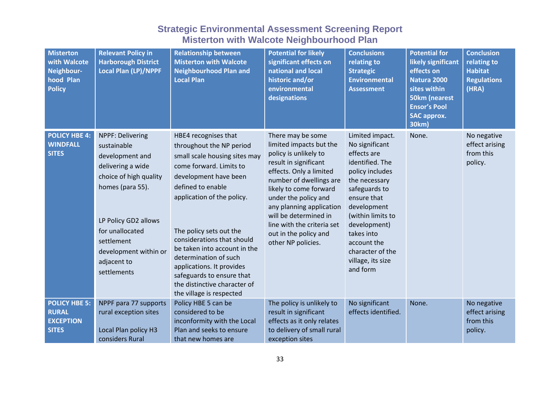| <b>Misterton</b><br>with Walcote<br>Neighbour-<br>hood Plan<br><b>Policy</b> | <b>Relevant Policy in</b><br><b>Harborough District</b><br><b>Local Plan (LP)/NPPF</b>                                                                                                                                                | <b>Relationship between</b><br><b>Misterton with Walcote</b><br><b>Neighbourhood Plan and</b><br><b>Local Plan</b>                                                                                                                                                                                                                                                                                                               | <b>Potential for likely</b><br>significant effects on<br>national and local<br>historic and/or<br>environmental<br>designations                                                                                                                                                                                                          | <b>Conclusions</b><br>relating to<br><b>Strategic</b><br><b>Environmental</b><br><b>Assessment</b>                                                                                                                                                                            | <b>Potential for</b><br>likely significant<br>effects on<br>Natura 2000<br>sites within<br><b>50km (nearest</b><br><b>Ensor's Pool</b><br><b>SAC approx.</b><br>30km) | <b>Conclusion</b><br>relating to<br><b>Habitat</b><br><b>Regulations</b><br>(HRA) |
|------------------------------------------------------------------------------|---------------------------------------------------------------------------------------------------------------------------------------------------------------------------------------------------------------------------------------|----------------------------------------------------------------------------------------------------------------------------------------------------------------------------------------------------------------------------------------------------------------------------------------------------------------------------------------------------------------------------------------------------------------------------------|------------------------------------------------------------------------------------------------------------------------------------------------------------------------------------------------------------------------------------------------------------------------------------------------------------------------------------------|-------------------------------------------------------------------------------------------------------------------------------------------------------------------------------------------------------------------------------------------------------------------------------|-----------------------------------------------------------------------------------------------------------------------------------------------------------------------|-----------------------------------------------------------------------------------|
| <b>POLICY HBE 4:</b><br><b>WINDFALL</b><br><b>SITES</b>                      | NPPF: Delivering<br>sustainable<br>development and<br>delivering a wide<br>choice of high quality<br>homes (para 55).<br>LP Policy GD2 allows<br>for unallocated<br>settlement<br>development within or<br>adjacent to<br>settlements | HBE4 recognises that<br>throughout the NP period<br>small scale housing sites may<br>come forward. Limits to<br>development have been<br>defined to enable<br>application of the policy.<br>The policy sets out the<br>considerations that should<br>be taken into account in the<br>determination of such<br>applications. It provides<br>safeguards to ensure that<br>the distinctive character of<br>the village is respected | There may be some<br>limited impacts but the<br>policy is unlikely to<br>result in significant<br>effects. Only a limited<br>number of dwellings are<br>likely to come forward<br>under the policy and<br>any planning application<br>will be determined in<br>line with the criteria set<br>out in the policy and<br>other NP policies. | Limited impact.<br>No significant<br>effects are<br>identified. The<br>policy includes<br>the necessary<br>safeguards to<br>ensure that<br>development<br>(within limits to<br>development)<br>takes into<br>account the<br>character of the<br>village, its size<br>and form | None.                                                                                                                                                                 | No negative<br>effect arising<br>from this<br>policy.                             |
| <b>POLICY HBE 5:</b><br><b>RURAL</b><br><b>EXCEPTION</b><br><b>SITES</b>     | NPPF para 77 supports<br>rural exception sites<br>Local Plan policy H3<br>considers Rural                                                                                                                                             | Policy HBE 5 can be<br>considered to be<br>inconformity with the Local<br>Plan and seeks to ensure<br>that new homes are                                                                                                                                                                                                                                                                                                         | The policy is unlikely to<br>result in significant<br>effects as it only relates<br>to delivery of small rural<br>exception sites                                                                                                                                                                                                        | No significant<br>effects identified.                                                                                                                                                                                                                                         | None.                                                                                                                                                                 | No negative<br>effect arising<br>from this<br>policy.                             |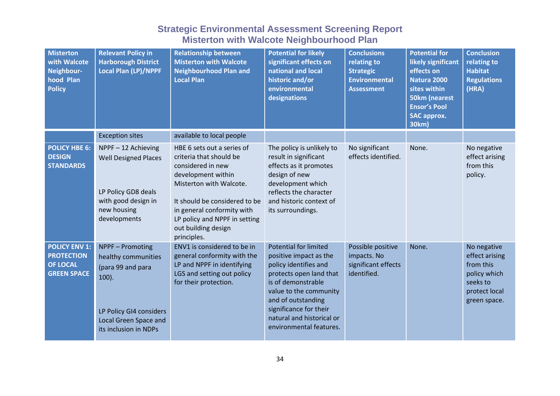| <b>Misterton</b><br>with Walcote<br>Neighbour-<br>hood Plan<br><b>Policy</b>       | <b>Relevant Policy in</b><br><b>Harborough District</b><br>Local Plan (LP)/NPPF                                                                       | <b>Relationship between</b><br><b>Misterton with Walcote</b><br><b>Neighbourhood Plan and</b><br><b>Local Plan</b>                                                                                                                                                | <b>Potential for likely</b><br>significant effects on<br>national and local<br>historic and/or<br>environmental<br>designations                                                                                                                                    | <b>Conclusions</b><br>relating to<br><b>Strategic</b><br><b>Environmental</b><br><b>Assessment</b> | <b>Potential for</b><br>likely significant<br>effects on<br>Natura 2000<br>sites within<br><b>50km (nearest</b><br><b>Ensor's Pool</b><br><b>SAC approx.</b><br>30km) | <b>Conclusion</b><br>relating to<br><b>Habitat</b><br><b>Regulations</b><br>(HRA)                       |
|------------------------------------------------------------------------------------|-------------------------------------------------------------------------------------------------------------------------------------------------------|-------------------------------------------------------------------------------------------------------------------------------------------------------------------------------------------------------------------------------------------------------------------|--------------------------------------------------------------------------------------------------------------------------------------------------------------------------------------------------------------------------------------------------------------------|----------------------------------------------------------------------------------------------------|-----------------------------------------------------------------------------------------------------------------------------------------------------------------------|---------------------------------------------------------------------------------------------------------|
|                                                                                    | <b>Exception sites</b>                                                                                                                                | available to local people                                                                                                                                                                                                                                         |                                                                                                                                                                                                                                                                    |                                                                                                    |                                                                                                                                                                       |                                                                                                         |
| <b>POLICY HBE 6:</b><br><b>DESIGN</b><br><b>STANDARDS</b>                          | NPPF-12 Achieving<br><b>Well Designed Places</b><br>LP Policy GD8 deals<br>with good design in<br>new housing<br>developments                         | HBE 6 sets out a series of<br>criteria that should be<br>considered in new<br>development within<br>Misterton with Walcote.<br>It should be considered to be<br>in general conformity with<br>LP policy and NPPF in setting<br>out building design<br>principles. | The policy is unlikely to<br>result in significant<br>effects as it promotes<br>design of new<br>development which<br>reflects the character<br>and historic context of<br>its surroundings.                                                                       | No significant<br>effects identified.                                                              | None.                                                                                                                                                                 | No negative<br>effect arising<br>from this<br>policy.                                                   |
| <b>POLICY ENV 1:</b><br><b>PROTECTION</b><br><b>OF LOCAL</b><br><b>GREEN SPACE</b> | NPPF - Promoting<br>healthy communities<br>(para 99 and para<br>$100$ ).<br>LP Policy GI4 considers<br>Local Green Space and<br>its inclusion in NDPs | ENV1 is considered to be in<br>general conformity with the<br>LP and NPPF in identifying<br>LGS and setting out policy<br>for their protection.                                                                                                                   | <b>Potential for limited</b><br>positive impact as the<br>policy identifies and<br>protects open land that<br>is of demonstrable<br>value to the community<br>and of outstanding<br>significance for their<br>natural and historical or<br>environmental features. | Possible positive<br>impacts. No<br>significant effects<br>identified.                             | None.                                                                                                                                                                 | No negative<br>effect arising<br>from this<br>policy which<br>seeks to<br>protect local<br>green space. |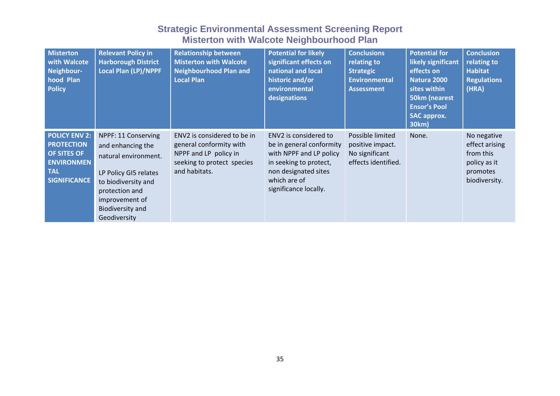| <b>Misterton</b><br>with Walcote<br>Neighbour-<br>hood Plan<br><b>Policy</b>                                       | <b>Relevant Policy in</b><br><b>Harborough District</b><br><b>Local Plan (LP)/NPPF</b>                                                                                                          | <b>Relationship between</b><br><b>Misterton with Walcote</b><br><b>Neighbourhood Plan and</b><br><b>Local Plan</b>             | <b>Potential for likely</b><br>significant effects on<br>national and local<br>historic and/or<br>environmental<br>designations                                         | <b>Conclusions</b><br>relating to<br><b>Strategic</b><br><b>Environmental</b><br><b>Assessment</b> | <b>Potential for</b><br>likely significant<br>effects on<br>Natura 2000<br>sites within<br>50km (nearest<br><b>Ensor's Pool</b><br><b>SAC approx.</b><br>30km) | <b>Conclusion</b><br>relating to<br><b>Habitat</b><br><b>Regulations</b><br>(HRA)       |
|--------------------------------------------------------------------------------------------------------------------|-------------------------------------------------------------------------------------------------------------------------------------------------------------------------------------------------|--------------------------------------------------------------------------------------------------------------------------------|-------------------------------------------------------------------------------------------------------------------------------------------------------------------------|----------------------------------------------------------------------------------------------------|----------------------------------------------------------------------------------------------------------------------------------------------------------------|-----------------------------------------------------------------------------------------|
| <b>POLICY ENV 2:</b><br><b>PROTECTION</b><br>OF SITES OF<br><b>ENVIRONMEN</b><br><b>TAL</b><br><b>SIGNIFICANCE</b> | NPPF: 11 Conserving<br>and enhancing the<br>natural environment.<br>LP Policy GI5 relates<br>to biodiversity and<br>protection and<br>improvement of<br><b>Biodiversity and</b><br>Geodiversity | ENV2 is considered to be in<br>general conformity with<br>NPPF and LP policy in<br>seeking to protect species<br>and habitats. | ENV2 is considered to<br>be in general conformity<br>with NPPF and LP policy<br>in seeking to protect,<br>non designated sites<br>which are of<br>significance locally. | Possible limited<br>positive impact.<br>No significant<br>effects identified.                      | None.                                                                                                                                                          | No negative<br>effect arising<br>from this<br>policy as it<br>promotes<br>biodiversity. |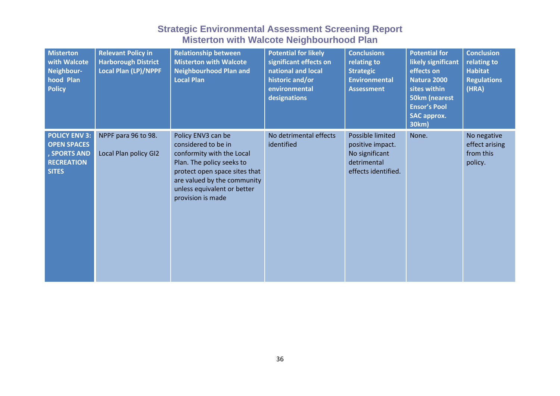| <b>Misterton</b><br>with Walcote<br>Neighbour-<br>hood Plan<br><b>Policy</b>                    | <b>Relevant Policy in</b><br><b>Harborough District</b><br><b>Local Plan (LP)/NPPF</b> | <b>Relationship between</b><br><b>Misterton with Walcote</b><br><b>Neighbourhood Plan and</b><br><b>Local Plan</b>                                                                                                      | <b>Potential for likely</b><br>significant effects on<br>national and local<br>historic and/or<br>environmental<br>designations | <b>Conclusions</b><br>relating to<br><b>Strategic</b><br><b>Environmental</b><br><b>Assessment</b> | <b>Potential for</b><br>likely significant<br>effects on<br><b>Natura 2000</b><br>sites within<br>50km (nearest<br><b>Ensor's Pool</b><br><b>SAC approx.</b><br>30km) | <b>Conclusion</b><br>relating to<br><b>Habitat</b><br><b>Regulations</b><br>(HRA) |
|-------------------------------------------------------------------------------------------------|----------------------------------------------------------------------------------------|-------------------------------------------------------------------------------------------------------------------------------------------------------------------------------------------------------------------------|---------------------------------------------------------------------------------------------------------------------------------|----------------------------------------------------------------------------------------------------|-----------------------------------------------------------------------------------------------------------------------------------------------------------------------|-----------------------------------------------------------------------------------|
| <b>POLICY ENV 3:</b><br><b>OPEN SPACES</b><br>, SPORTS AND<br><b>RECREATION</b><br><b>SITES</b> | NPPF para 96 to 98.<br>Local Plan policy GI2                                           | Policy ENV3 can be<br>considered to be in<br>conformity with the Local<br>Plan. The policy seeks to<br>protect open space sites that<br>are valued by the community<br>unless equivalent or better<br>provision is made | No detrimental effects<br>identified                                                                                            | Possible limited<br>positive impact.<br>No significant<br>detrimental<br>effects identified.       | None.                                                                                                                                                                 | No negative<br>effect arising<br>from this<br>policy.                             |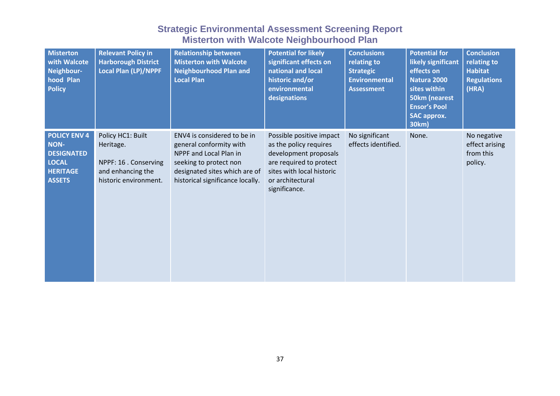| <b>Misterton</b><br>with Walcote<br>Neighbour-<br>hood Plan<br><b>Policy</b>                                | <b>Relevant Policy in</b><br><b>Harborough District</b><br>Local Plan (LP)/NPPF                       | <b>Relationship between</b><br><b>Misterton with Walcote</b><br><b>Neighbourhood Plan and</b><br><b>Local Plan</b>                                                              | <b>Potential for likely</b><br>significant effects on<br>national and local<br>historic and/or<br>environmental<br>designations                                          | <b>Conclusions</b><br>relating to<br><b>Strategic</b><br><b>Environmental</b><br><b>Assessment</b> | <b>Potential for</b><br>likely significant<br>effects on<br><b>Natura 2000</b><br>sites within<br>50km (nearest<br><b>Ensor's Pool</b><br><b>SAC approx.</b><br>30km) | <b>Conclusion</b><br>relating to<br><b>Habitat</b><br><b>Regulations</b><br>(HRA) |
|-------------------------------------------------------------------------------------------------------------|-------------------------------------------------------------------------------------------------------|---------------------------------------------------------------------------------------------------------------------------------------------------------------------------------|--------------------------------------------------------------------------------------------------------------------------------------------------------------------------|----------------------------------------------------------------------------------------------------|-----------------------------------------------------------------------------------------------------------------------------------------------------------------------|-----------------------------------------------------------------------------------|
| <b>POLICY ENV 4</b><br><b>NON-</b><br><b>DESIGNATED</b><br><b>LOCAL</b><br><b>HERITAGE</b><br><b>ASSETS</b> | Policy HC1: Built<br>Heritage.<br>NPPF: 16 . Conserving<br>and enhancing the<br>historic environment. | ENV4 is considered to be in<br>general conformity with<br>NPPF and Local Plan in<br>seeking to protect non<br>designated sites which are of<br>historical significance locally. | Possible positive impact<br>as the policy requires<br>development proposals<br>are required to protect<br>sites with local historic<br>or architectural<br>significance. | No significant<br>effects identified.                                                              | None.                                                                                                                                                                 | No negative<br>effect arising<br>from this<br>policy.                             |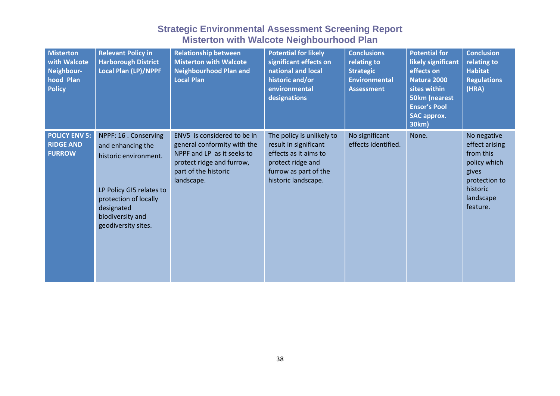| <b>Misterton</b><br>with Walcote<br>Neighbour-<br>hood Plan<br><b>Policy</b> | <b>Relevant Policy in</b><br><b>Harborough District</b><br><b>Local Plan (LP)/NPPF</b>                                                                                            | <b>Relationship between</b><br><b>Misterton with Walcote</b><br><b>Neighbourhood Plan and</b><br><b>Local Plan</b>                                          | <b>Potential for likely</b><br>significant effects on<br>national and local<br>historic and/or<br>environmental<br>designations                  | <b>Conclusions</b><br>relating to<br><b>Strategic</b><br><b>Environmental</b><br><b>Assessment</b> | <b>Potential for</b><br>likely significant<br>effects on<br>Natura 2000<br>sites within<br>50km (nearest<br><b>Ensor's Pool</b><br><b>SAC approx.</b><br>30km) | <b>Conclusion</b><br>relating to<br><b>Habitat</b><br><b>Regulations</b><br>(HRA)                                         |
|------------------------------------------------------------------------------|-----------------------------------------------------------------------------------------------------------------------------------------------------------------------------------|-------------------------------------------------------------------------------------------------------------------------------------------------------------|--------------------------------------------------------------------------------------------------------------------------------------------------|----------------------------------------------------------------------------------------------------|----------------------------------------------------------------------------------------------------------------------------------------------------------------|---------------------------------------------------------------------------------------------------------------------------|
| <b>POLICY ENV 5:</b><br><b>RIDGE AND</b><br><b>FURROW</b>                    | NPPF: 16 . Conserving<br>and enhancing the<br>historic environment.<br>LP Policy GI5 relates to<br>protection of locally<br>designated<br>biodiversity and<br>geodiversity sites. | ENV5 is considered to be in<br>general conformity with the<br>NPPF and LP as it seeks to<br>protect ridge and furrow,<br>part of the historic<br>landscape. | The policy is unlikely to<br>result in significant<br>effects as it aims to<br>protect ridge and<br>furrow as part of the<br>historic landscape. | No significant<br>effects identified.                                                              | None.                                                                                                                                                          | No negative<br>effect arising<br>from this<br>policy which<br>gives<br>protection to<br>historic<br>landscape<br>feature. |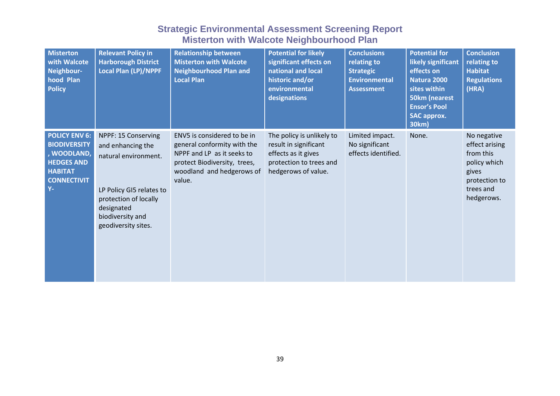| <b>Misterton</b><br>with Walcote<br>Neighbour-<br>hood Plan<br><b>Policy</b>                                                     | <b>Relevant Policy in</b><br><b>Harborough District</b><br><b>Local Plan (LP)/NPPF</b>                                                                                         | <b>Relationship between</b><br><b>Misterton with Walcote</b><br><b>Neighbourhood Plan and</b><br><b>Local Plan</b>                                              | <b>Potential for likely</b><br>significant effects on<br>national and local<br>historic and/or<br>environmental<br>designations | <b>Conclusions</b><br>relating to<br><b>Strategic</b><br><b>Environmental</b><br><b>Assessment</b> | <b>Potential for</b><br>likely significant<br>effects on<br><b>Natura 2000</b><br>sites within<br><b>50km (nearest</b><br><b>Ensor's Pool</b><br><b>SAC approx.</b><br>30km) | <b>Conclusion</b><br>relating to<br><b>Habitat</b><br><b>Regulations</b><br>(HRA)                               |
|----------------------------------------------------------------------------------------------------------------------------------|--------------------------------------------------------------------------------------------------------------------------------------------------------------------------------|-----------------------------------------------------------------------------------------------------------------------------------------------------------------|---------------------------------------------------------------------------------------------------------------------------------|----------------------------------------------------------------------------------------------------|------------------------------------------------------------------------------------------------------------------------------------------------------------------------------|-----------------------------------------------------------------------------------------------------------------|
| <b>POLICY ENV 6:</b><br><b>BIODIVERSITY</b><br>, WOODLAND,<br><b>HEDGES AND</b><br><b>HABITAT</b><br><b>CONNECTIVIT</b><br>$Y -$ | NPPF: 15 Conserving<br>and enhancing the<br>natural environment.<br>LP Policy GI5 relates to<br>protection of locally<br>designated<br>biodiversity and<br>geodiversity sites. | ENV5 is considered to be in<br>general conformity with the<br>NPPF and LP as it seeks to<br>protect Biodiversity, trees,<br>woodland and hedgerows of<br>value. | The policy is unlikely to<br>result in significant<br>effects as it gives<br>protection to trees and<br>hedgerows of value.     | Limited impact.<br>No significant<br>effects identified.                                           | None.                                                                                                                                                                        | No negative<br>effect arising<br>from this<br>policy which<br>gives<br>protection to<br>trees and<br>hedgerows. |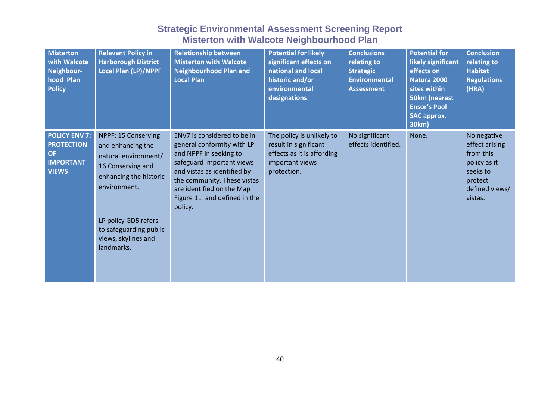| <b>Misterton</b><br>with Walcote<br>Neighbour-<br>hood Plan<br><b>Policy</b>               | <b>Relevant Policy in</b><br><b>Harborough District</b><br><b>Local Plan (LP)/NPPF</b>                                          | <b>Relationship between</b><br><b>Misterton with Walcote</b><br><b>Neighbourhood Plan and</b><br><b>Local Plan</b>                                                                                                                                     | <b>Potential for likely</b><br>significant effects on<br>national and local<br>historic and/or<br>environmental<br>designations | <b>Conclusions</b><br>relating to<br><b>Strategic</b><br><b>Environmental</b><br><b>Assessment</b> | <b>Potential for</b><br>likely significant<br>effects on<br>Natura 2000<br>sites within<br>50km (nearest<br><b>Ensor's Pool</b><br>SAC approx.<br>30km) | <b>Conclusion</b><br>relating to<br><b>Habitat</b><br><b>Regulations</b><br>(HRA)                              |
|--------------------------------------------------------------------------------------------|---------------------------------------------------------------------------------------------------------------------------------|--------------------------------------------------------------------------------------------------------------------------------------------------------------------------------------------------------------------------------------------------------|---------------------------------------------------------------------------------------------------------------------------------|----------------------------------------------------------------------------------------------------|---------------------------------------------------------------------------------------------------------------------------------------------------------|----------------------------------------------------------------------------------------------------------------|
| <b>POLICY ENV 7:</b><br><b>PROTECTION</b><br><b>OF</b><br><b>IMPORTANT</b><br><b>VIEWS</b> | NPPF: 15 Conserving<br>and enhancing the<br>natural environment/<br>16 Conserving and<br>enhancing the historic<br>environment. | ENV7 is considered to be in<br>general conformity with LP<br>and NPPF in seeking to<br>safeguard important views<br>and vistas as identified by<br>the community. These vistas<br>are identified on the Map<br>Figure 11 and defined in the<br>policy. | The policy is unlikely to<br>result in significant<br>effects as it is affording<br>important views<br>protection.              | No significant<br>effects identified.                                                              | None.                                                                                                                                                   | No negative<br>effect arising<br>from this<br>policy as it<br>seeks to<br>protect<br>defined views/<br>vistas. |
|                                                                                            | LP policy GD5 refers<br>to safeguarding public<br>views, skylines and<br>landmarks.                                             |                                                                                                                                                                                                                                                        |                                                                                                                                 |                                                                                                    |                                                                                                                                                         |                                                                                                                |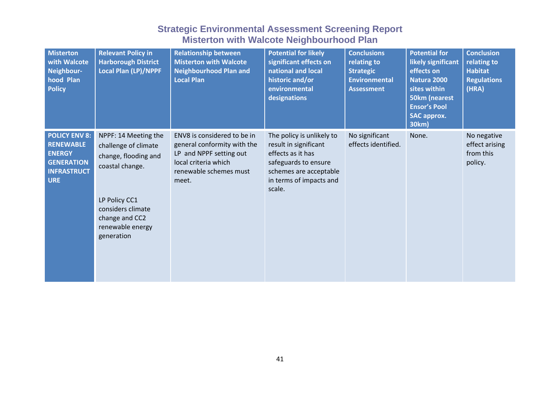| <b>Misterton</b><br>with Walcote<br>Neighbour-<br>hood Plan<br><b>Policy</b>                                       | <b>Relevant Policy in</b><br><b>Harborough District</b><br><b>Local Plan (LP)/NPPF</b>                                                                                            | <b>Relationship between</b><br><b>Misterton with Walcote</b><br><b>Neighbourhood Plan and</b><br><b>Local Plan</b>                               | <b>Potential for likely</b><br>significant effects on<br>national and local<br>historic and/or<br>environmental<br>designations                                | <b>Conclusions</b><br>relating to<br><b>Strategic</b><br><b>Environmental</b><br><b>Assessment</b> | <b>Potential for</b><br>likely significant<br>effects on<br>Natura 2000<br>sites within<br>50km (nearest<br><b>Ensor's Pool</b><br><b>SAC approx.</b><br>30km) | <b>Conclusion</b><br>relating to<br><b>Habitat</b><br><b>Regulations</b><br>(HRA) |
|--------------------------------------------------------------------------------------------------------------------|-----------------------------------------------------------------------------------------------------------------------------------------------------------------------------------|--------------------------------------------------------------------------------------------------------------------------------------------------|----------------------------------------------------------------------------------------------------------------------------------------------------------------|----------------------------------------------------------------------------------------------------|----------------------------------------------------------------------------------------------------------------------------------------------------------------|-----------------------------------------------------------------------------------|
| <b>POLICY ENV 8:</b><br><b>RENEWABLE</b><br><b>ENERGY</b><br><b>GENERATION</b><br><b>INFRASTRUCT</b><br><b>URE</b> | NPPF: 14 Meeting the<br>challenge of climate<br>change, flooding and<br>coastal change.<br>LP Policy CC1<br>considers climate<br>change and CC2<br>renewable energy<br>generation | ENV8 is considered to be in<br>general conformity with the<br>LP and NPPF setting out<br>local criteria which<br>renewable schemes must<br>meet. | The policy is unlikely to<br>result in significant<br>effects as it has<br>safeguards to ensure<br>schemes are acceptable<br>in terms of impacts and<br>scale. | No significant<br>effects identified.                                                              | None.                                                                                                                                                          | No negative<br>effect arising<br>from this<br>policy.                             |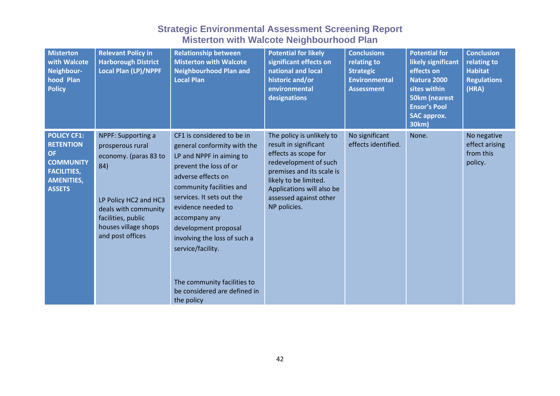| <b>Misterton</b><br>with Walcote<br>Neighbour-<br>hood Plan<br><b>Policy</b>                                                        | <b>Relevant Policy in</b><br><b>Harborough District</b><br>Local Plan (LP)/NPPF                                                                                                           | <b>Relationship between</b><br><b>Misterton with Walcote</b><br><b>Neighbourhood Plan and</b><br><b>Local Plan</b>                                                                                                                                                                                                                                                                              | <b>Potential for likely</b><br>significant effects on<br>national and local<br>historic and/or<br>environmental<br>designations                                                                                                  | <b>Conclusions</b><br>relating to<br><b>Strategic</b><br><b>Environmental</b><br><b>Assessment</b> | <b>Potential for</b><br>likely significant<br>effects on<br>Natura 2000<br>sites within<br>50km (nearest<br><b>Ensor's Pool</b><br><b>SAC approx.</b><br>30km) | <b>Conclusion</b><br>relating to<br><b>Habitat</b><br><b>Regulations</b><br>(HRA) |
|-------------------------------------------------------------------------------------------------------------------------------------|-------------------------------------------------------------------------------------------------------------------------------------------------------------------------------------------|-------------------------------------------------------------------------------------------------------------------------------------------------------------------------------------------------------------------------------------------------------------------------------------------------------------------------------------------------------------------------------------------------|----------------------------------------------------------------------------------------------------------------------------------------------------------------------------------------------------------------------------------|----------------------------------------------------------------------------------------------------|----------------------------------------------------------------------------------------------------------------------------------------------------------------|-----------------------------------------------------------------------------------|
| <b>POLICY CF1:</b><br><b>RETENTION</b><br><b>OF</b><br><b>COMMUNITY</b><br><b>FACILITIES,</b><br><b>AMENITIES,</b><br><b>ASSETS</b> | NPPF: Supporting a<br>prosperous rural<br>economy. (paras 83 to<br>84)<br>LP Policy HC2 and HC3<br>deals with community<br>facilities, public<br>houses village shops<br>and post offices | CF1 is considered to be in<br>general conformity with the<br>LP and NPPF in aiming to<br>prevent the loss of or<br>adverse effects on<br>community facilities and<br>services. It sets out the<br>evidence needed to<br>accompany any<br>development proposal<br>involving the loss of such a<br>service/facility.<br>The community facilities to<br>be considered are defined in<br>the policy | The policy is unlikely to<br>result in significant<br>effects as scope for<br>redevelopment of such<br>premises and its scale is<br>likely to be limited.<br>Applications will also be<br>assessed against other<br>NP policies. | No significant<br>effects identified.                                                              | None.                                                                                                                                                          | No negative<br>effect arising<br>from this<br>policy.                             |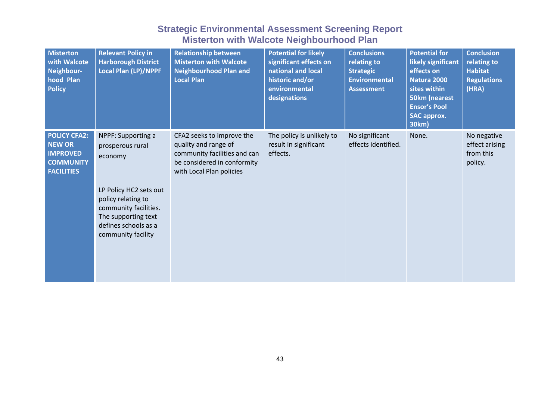| <b>Misterton</b><br>with Walcote<br>Neighbour-<br>hood Plan<br><b>Policy</b>                     | <b>Relevant Policy in</b><br><b>Harborough District</b><br><b>Local Plan (LP)/NPPF</b>                                                                                                          | <b>Relationship between</b><br><b>Misterton with Walcote</b><br><b>Neighbourhood Plan and</b><br><b>Local Plan</b>                           | <b>Potential for likely</b><br>significant effects on<br>national and local<br>historic and/or<br>environmental<br>designations | <b>Conclusions</b><br>relating to<br><b>Strategic</b><br><b>Environmental</b><br><b>Assessment</b> | <b>Potential for</b><br>likely significant<br>effects on<br>Natura 2000<br>sites within<br><b>50km (nearest</b><br><b>Ensor's Pool</b><br><b>SAC approx.</b><br>30km) | <b>Conclusion</b><br>relating to<br><b>Habitat</b><br><b>Regulations</b><br>(HRA) |
|--------------------------------------------------------------------------------------------------|-------------------------------------------------------------------------------------------------------------------------------------------------------------------------------------------------|----------------------------------------------------------------------------------------------------------------------------------------------|---------------------------------------------------------------------------------------------------------------------------------|----------------------------------------------------------------------------------------------------|-----------------------------------------------------------------------------------------------------------------------------------------------------------------------|-----------------------------------------------------------------------------------|
| <b>POLICY CFA2:</b><br><b>NEW OR</b><br><b>IMPROVED</b><br><b>COMMUNITY</b><br><b>FACILITIES</b> | NPPF: Supporting a<br>prosperous rural<br>economy<br>LP Policy HC2 sets out<br>policy relating to<br>community facilities.<br>The supporting text<br>defines schools as a<br>community facility | CFA2 seeks to improve the<br>quality and range of<br>community facilities and can<br>be considered in conformity<br>with Local Plan policies | The policy is unlikely to<br>result in significant<br>effects.                                                                  | No significant<br>effects identified.                                                              | None.                                                                                                                                                                 | No negative<br>effect arising<br>from this<br>policy.                             |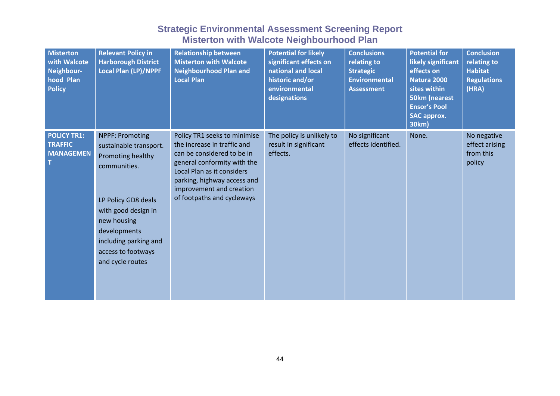| <b>Misterton</b><br>with Walcote<br>Neighbour-<br>hood Plan<br><b>Policy</b> | <b>Relevant Policy in</b><br><b>Harborough District</b><br>Local Plan (LP)/NPPF                                                                                                                                                       | <b>Relationship between</b><br><b>Misterton with Walcote</b><br><b>Neighbourhood Plan and</b><br><b>Local Plan</b>                                                                                                                              | <b>Potential for likely</b><br>significant effects on<br>national and local<br>historic and/or<br>environmental<br>designations | <b>Conclusions</b><br>relating to<br><b>Strategic</b><br><b>Environmental</b><br><b>Assessment</b> | <b>Potential for</b><br>likely significant<br>effects on<br>Natura 2000<br>sites within<br>50km (nearest<br><b>Ensor's Pool</b><br><b>SAC approx.</b><br>30km) | <b>Conclusion</b><br>relating to<br><b>Habitat</b><br><b>Regulations</b><br>(HRA) |
|------------------------------------------------------------------------------|---------------------------------------------------------------------------------------------------------------------------------------------------------------------------------------------------------------------------------------|-------------------------------------------------------------------------------------------------------------------------------------------------------------------------------------------------------------------------------------------------|---------------------------------------------------------------------------------------------------------------------------------|----------------------------------------------------------------------------------------------------|----------------------------------------------------------------------------------------------------------------------------------------------------------------|-----------------------------------------------------------------------------------|
| <b>POLICY TR1:</b><br><b>TRAFFIC</b><br><b>MANAGEMEN</b>                     | <b>NPPF: Promoting</b><br>sustainable transport.<br>Promoting healthy<br>communities.<br>LP Policy GD8 deals<br>with good design in<br>new housing<br>developments<br>including parking and<br>access to footways<br>and cycle routes | Policy TR1 seeks to minimise<br>the increase in traffic and<br>can be considered to be in<br>general conformity with the<br>Local Plan as it considers<br>parking, highway access and<br>improvement and creation<br>of footpaths and cycleways | The policy is unlikely to<br>result in significant<br>effects.                                                                  | No significant<br>effects identified.                                                              | None.                                                                                                                                                          | No negative<br>effect arising<br>from this<br>policy                              |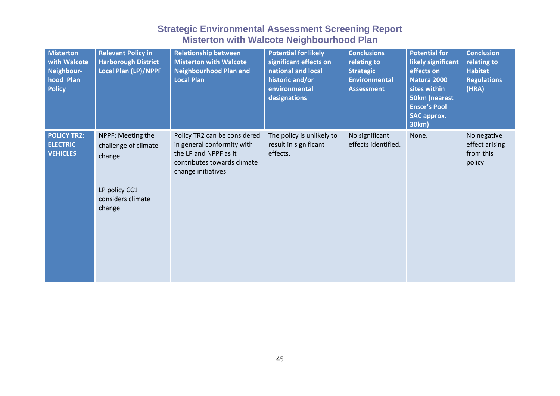| <b>Misterton</b><br>with Walcote<br>Neighbour-<br>hood Plan<br><b>Policy</b> | <b>Relevant Policy in</b><br><b>Harborough District</b><br><b>Local Plan (LP)/NPPF</b>               | <b>Relationship between</b><br><b>Misterton with Walcote</b><br><b>Neighbourhood Plan and</b><br><b>Local Plan</b>                       | <b>Potential for likely</b><br>significant effects on<br>national and local<br>historic and/or<br>environmental<br>designations | <b>Conclusions</b><br>relating to<br><b>Strategic</b><br><b>Environmental</b><br><b>Assessment</b> | <b>Potential for</b><br>likely significant<br>effects on<br>Natura 2000<br>sites within<br>50km (nearest<br><b>Ensor's Pool</b><br><b>SAC approx.</b><br>30km) | <b>Conclusion</b><br>relating to<br><b>Habitat</b><br><b>Regulations</b><br>(HRA) |
|------------------------------------------------------------------------------|------------------------------------------------------------------------------------------------------|------------------------------------------------------------------------------------------------------------------------------------------|---------------------------------------------------------------------------------------------------------------------------------|----------------------------------------------------------------------------------------------------|----------------------------------------------------------------------------------------------------------------------------------------------------------------|-----------------------------------------------------------------------------------|
| <b>POLICY TR2:</b><br><b>ELECTRIC</b><br><b>VEHICLES</b>                     | NPPF: Meeting the<br>challenge of climate<br>change.<br>LP policy CC1<br>considers climate<br>change | Policy TR2 can be considered<br>in general conformity with<br>the LP and NPPF as it<br>contributes towards climate<br>change initiatives | The policy is unlikely to<br>result in significant<br>effects.                                                                  | No significant<br>effects identified.                                                              | None.                                                                                                                                                          | No negative<br>effect arising<br>from this<br>policy                              |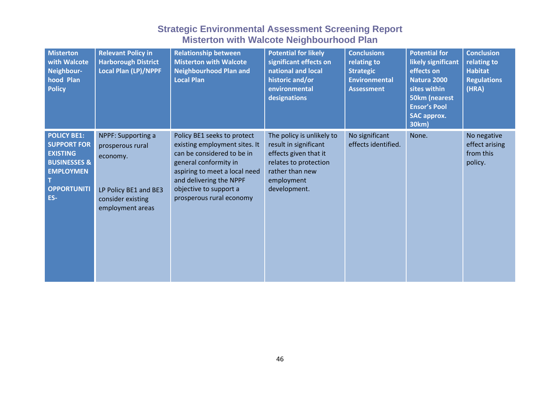| <b>Misterton</b><br>with Walcote<br>Neighbour-<br>hood Plan<br><b>Policy</b>                                                            | <b>Relevant Policy in</b><br><b>Harborough District</b><br><b>Local Plan (LP)/NPPF</b>                               | <b>Relationship between</b><br><b>Misterton with Walcote</b><br><b>Neighbourhood Plan and</b><br><b>Local Plan</b>                                                                                                                    | <b>Potential for likely</b><br>significant effects on<br>national and local<br>historic and/or<br>environmental<br>designations                       | <b>Conclusions</b><br>relating to<br><b>Strategic</b><br><b>Environmental</b><br><b>Assessment</b> | <b>Potential for</b><br>likely significant<br>effects on<br>Natura 2000<br>sites within<br>50km (nearest<br><b>Ensor's Pool</b><br><b>SAC approx.</b><br>30km) | <b>Conclusion</b><br>relating to<br><b>Habitat</b><br><b>Regulations</b><br>(HRA) |
|-----------------------------------------------------------------------------------------------------------------------------------------|----------------------------------------------------------------------------------------------------------------------|---------------------------------------------------------------------------------------------------------------------------------------------------------------------------------------------------------------------------------------|-------------------------------------------------------------------------------------------------------------------------------------------------------|----------------------------------------------------------------------------------------------------|----------------------------------------------------------------------------------------------------------------------------------------------------------------|-----------------------------------------------------------------------------------|
| <b>POLICY BE1:</b><br><b>SUPPORT FOR</b><br><b>EXISTING</b><br><b>BUSINESSES &amp;</b><br><b>EMPLOYMEN</b><br><b>OPPORTUNITI</b><br>ES- | NPPF: Supporting a<br>prosperous rural<br>economy.<br>LP Policy BE1 and BE3<br>consider existing<br>employment areas | Policy BE1 seeks to protect<br>existing employment sites. It<br>can be considered to be in<br>general conformity in<br>aspiring to meet a local need<br>and delivering the NPPF<br>objective to support a<br>prosperous rural economy | The policy is unlikely to<br>result in significant<br>effects given that it<br>relates to protection<br>rather than new<br>employment<br>development. | No significant<br>effects identified.                                                              | None.                                                                                                                                                          | No negative<br>effect arising<br>from this<br>policy.                             |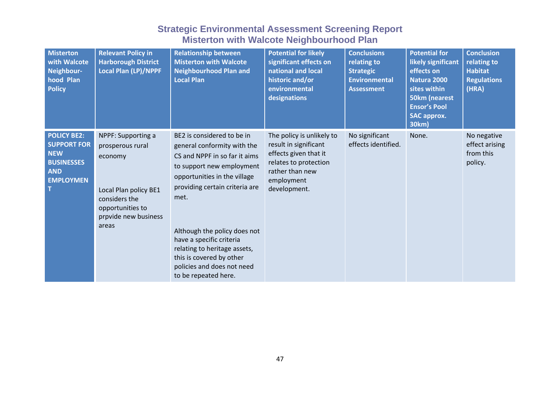| <b>Misterton</b><br>with Walcote<br>Neighbour-<br>hood Plan<br><b>Policy</b>                                  | <b>Relevant Policy in</b><br><b>Harborough District</b><br>Local Plan (LP)/NPPF                                                                  | <b>Relationship between</b><br><b>Misterton with Walcote</b><br><b>Neighbourhood Plan and</b><br><b>Local Plan</b>                                                                                                                                                                                                                                                              | <b>Potential for likely</b><br>significant effects on<br>national and local<br>historic and/or<br>environmental<br>designations                       | <b>Conclusions</b><br>relating to<br><b>Strategic</b><br><b>Environmental</b><br><b>Assessment</b> | <b>Potential for</b><br>likely significant<br>effects on<br>Natura 2000<br>sites within<br>50km (nearest<br><b>Ensor's Pool</b><br><b>SAC approx.</b><br>30km) | <b>Conclusion</b><br>relating to<br><b>Habitat</b><br><b>Regulations</b><br>(HRA) |
|---------------------------------------------------------------------------------------------------------------|--------------------------------------------------------------------------------------------------------------------------------------------------|---------------------------------------------------------------------------------------------------------------------------------------------------------------------------------------------------------------------------------------------------------------------------------------------------------------------------------------------------------------------------------|-------------------------------------------------------------------------------------------------------------------------------------------------------|----------------------------------------------------------------------------------------------------|----------------------------------------------------------------------------------------------------------------------------------------------------------------|-----------------------------------------------------------------------------------|
| <b>POLICY BE2:</b><br><b>SUPPORT FOR</b><br><b>NEW</b><br><b>BUSINESSES</b><br><b>AND</b><br><b>EMPLOYMEN</b> | NPPF: Supporting a<br>prosperous rural<br>economy<br>Local Plan policy BE1<br>considers the<br>opportunities to<br>prpvide new business<br>areas | BE2 is considered to be in<br>general conformity with the<br>CS and NPPF in so far it aims<br>to support new employment<br>opportunities in the village<br>providing certain criteria are<br>met.<br>Although the policy does not<br>have a specific criteria<br>relating to heritage assets,<br>this is covered by other<br>policies and does not need<br>to be repeated here. | The policy is unlikely to<br>result in significant<br>effects given that it<br>relates to protection<br>rather than new<br>employment<br>development. | No significant<br>effects identified.                                                              | None.                                                                                                                                                          | No negative<br>effect arising<br>from this<br>policy.                             |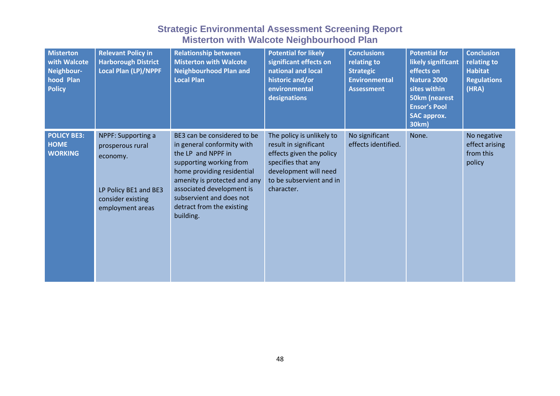| <b>Misterton</b><br>with Walcote<br>Neighbour-<br>hood Plan<br><b>Policy</b> | <b>Relevant Policy in</b><br><b>Harborough District</b><br><b>Local Plan (LP)/NPPF</b>                               | <b>Relationship between</b><br><b>Misterton with Walcote</b><br><b>Neighbourhood Plan and</b><br><b>Local Plan</b>                                                                                                                                                          | <b>Potential for likely</b><br>significant effects on<br>national and local<br>historic and/or<br>environmental<br>designations                                         | <b>Conclusions</b><br>relating to<br><b>Strategic</b><br><b>Environmental</b><br><b>Assessment</b> | <b>Potential for</b><br>likely significant<br>effects on<br>Natura 2000<br>sites within<br><b>50km (nearest</b><br><b>Ensor's Pool</b><br><b>SAC approx.</b><br>30km) | <b>Conclusion</b><br>relating to<br><b>Habitat</b><br><b>Regulations</b><br>(HRA) |
|------------------------------------------------------------------------------|----------------------------------------------------------------------------------------------------------------------|-----------------------------------------------------------------------------------------------------------------------------------------------------------------------------------------------------------------------------------------------------------------------------|-------------------------------------------------------------------------------------------------------------------------------------------------------------------------|----------------------------------------------------------------------------------------------------|-----------------------------------------------------------------------------------------------------------------------------------------------------------------------|-----------------------------------------------------------------------------------|
| <b>POLICY BE3:</b><br><b>HOME</b><br><b>WORKING</b>                          | NPPF: Supporting a<br>prosperous rural<br>economy.<br>LP Policy BE1 and BE3<br>consider existing<br>employment areas | BE3 can be considered to be<br>in general conformity with<br>the LP and NPPF in<br>supporting working from<br>home providing residential<br>amenity is protected and any<br>associated development is<br>subservient and does not<br>detract from the existing<br>building. | The policy is unlikely to<br>result in significant<br>effects given the policy<br>specifies that any<br>development will need<br>to be subservient and in<br>character. | No significant<br>effects identified.                                                              | None.                                                                                                                                                                 | No negative<br>effect arising<br>from this<br>policy                              |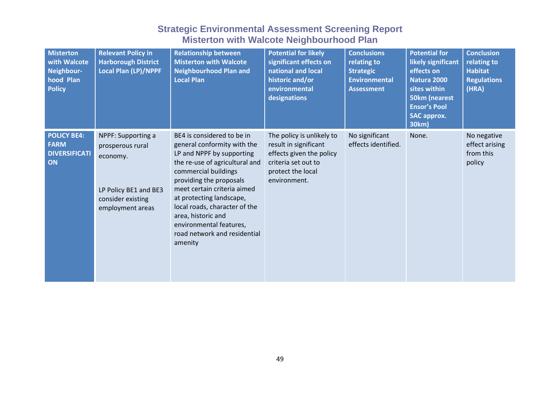| <b>Misterton</b><br>with Walcote<br>Neighbour-<br>hood Plan<br><b>Policy</b> | <b>Relevant Policy in</b><br><b>Harborough District</b><br><b>Local Plan (LP)/NPPF</b>                               | <b>Relationship between</b><br><b>Misterton with Walcote</b><br><b>Neighbourhood Plan and</b><br><b>Local Plan</b>                                                                                                                                                                                                                                                  | <b>Potential for likely</b><br>significant effects on<br>national and local<br>historic and/or<br>environmental<br>designations            | <b>Conclusions</b><br>relating to<br><b>Strategic</b><br><b>Environmental</b><br><b>Assessment</b> | <b>Potential for</b><br>likely significant<br>effects on<br>Natura 2000<br>sites within<br><b>50km (nearest</b><br><b>Ensor's Pool</b><br><b>SAC approx.</b><br>30km) | <b>Conclusion</b><br>relating to<br><b>Habitat</b><br><b>Regulations</b><br>(HRA) |
|------------------------------------------------------------------------------|----------------------------------------------------------------------------------------------------------------------|---------------------------------------------------------------------------------------------------------------------------------------------------------------------------------------------------------------------------------------------------------------------------------------------------------------------------------------------------------------------|--------------------------------------------------------------------------------------------------------------------------------------------|----------------------------------------------------------------------------------------------------|-----------------------------------------------------------------------------------------------------------------------------------------------------------------------|-----------------------------------------------------------------------------------|
| <b>POLICY BE4:</b><br><b>FARM</b><br><b>DIVERSIFICATI</b><br>ON              | NPPF: Supporting a<br>prosperous rural<br>economy.<br>LP Policy BE1 and BE3<br>consider existing<br>employment areas | BE4 is considered to be in<br>general conformity with the<br>LP and NPPF by supporting<br>the re-use of agricultural and<br>commercial buildings<br>providing the proposals<br>meet certain criteria aimed<br>at protecting landscape,<br>local roads, character of the<br>area, historic and<br>environmental features,<br>road network and residential<br>amenity | The policy is unlikely to<br>result in significant<br>effects given the policy<br>criteria set out to<br>protect the local<br>environment. | No significant<br>effects identified.                                                              | None.                                                                                                                                                                 | No negative<br>effect arising<br>from this<br>policy                              |